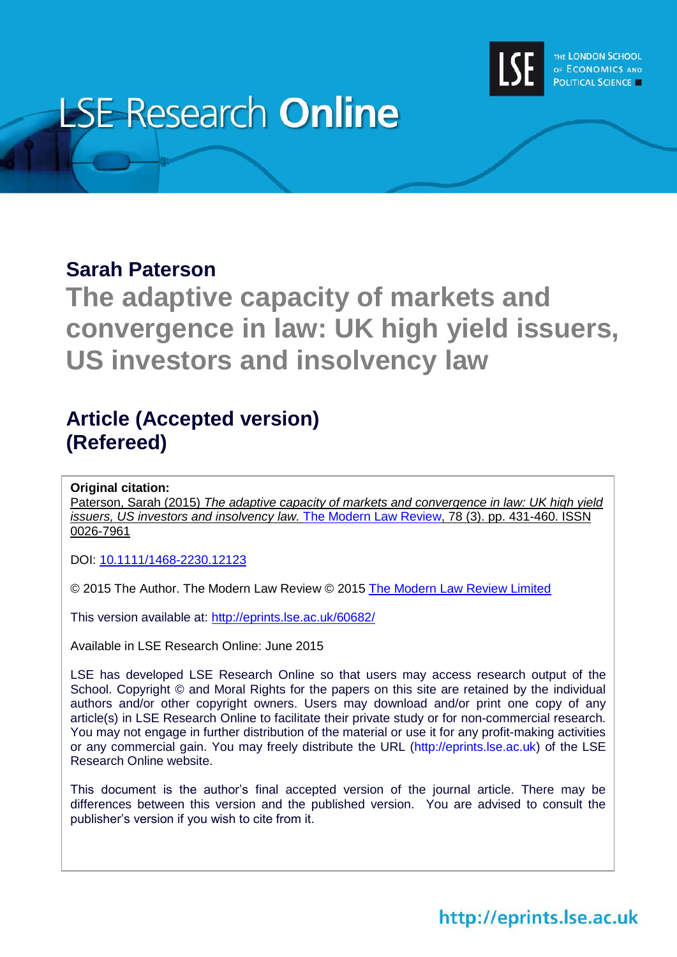

# **LSE Research Online**

# **Sarah Paterson**

**The adaptive capacity of markets and convergence in law: UK high yield issuers, US investors and insolvency law**

# **Article (Accepted version) (Refereed)**

**Original citation:**

Paterson, Sarah (2015) *The adaptive capacity of markets and convergence in law: UK high yield issuers, US investors and insolvency law.* [The Modern Law Review,](http://onlinelibrary.wiley.com/journal/10.1111/(ISSN)1468-2230) 78 (3). pp. 431-460. ISSN 0026-7961

DOI: [10.1111/1468-2230.12123](http://dx.doi.org/10.1111/1468-2230.12123)

© 2015 The Author. The Modern Law Review © 2015 [The Modern Law Review Limited](http://www.modernlawreview.co.uk/default.asp)

This version available at:<http://eprints.lse.ac.uk/60682/>

Available in LSE Research Online: June 2015

LSE has developed LSE Research Online so that users may access research output of the School. Copyright © and Moral Rights for the papers on this site are retained by the individual authors and/or other copyright owners. Users may download and/or print one copy of any article(s) in LSE Research Online to facilitate their private study or for non-commercial research. You may not engage in further distribution of the material or use it for any profit-making activities or any commercial gain. You may freely distribute the URL (http://eprints.lse.ac.uk) of the LSE Research Online website.

This document is the author's final accepted version of the journal article. There may be differences between this version and the published version. You are advised to consult the publisher's version if you wish to cite from it.

# http://eprints.lse.ac.uk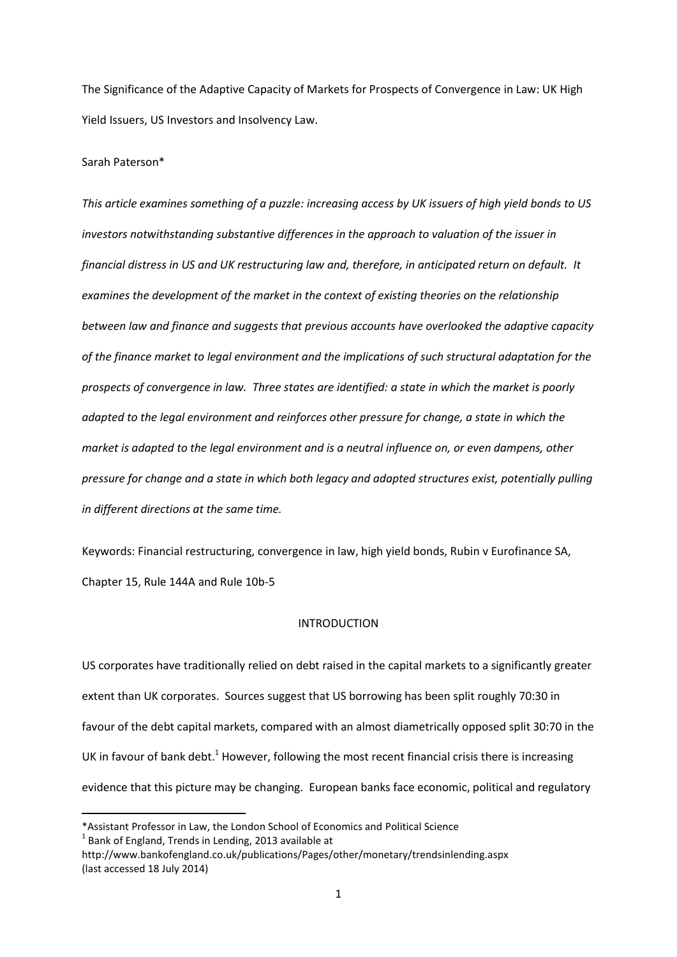The Significance of the Adaptive Capacity of Markets for Prospects of Convergence in Law: UK High Yield Issuers, US Investors and Insolvency Law.

### Sarah Paterson\*

**.** 

*This article examines something of a puzzle: increasing access by UK issuers of high yield bonds to US investors notwithstanding substantive differences in the approach to valuation of the issuer in financial distress in US and UK restructuring law and, therefore, in anticipated return on default. It examines the development of the market in the context of existing theories on the relationship between law and finance and suggests that previous accounts have overlooked the adaptive capacity of the finance market to legal environment and the implications of such structural adaptation for the prospects of convergence in law. Three states are identified: a state in which the market is poorly adapted to the legal environment and reinforces other pressure for change, a state in which the market is adapted to the legal environment and is a neutral influence on, or even dampens, other pressure for change and a state in which both legacy and adapted structures exist, potentially pulling in different directions at the same time.* 

Keywords: Financial restructuring, convergence in law, high yield bonds, Rubin v Eurofinance SA, Chapter 15, Rule 144A and Rule 10b-5

### INTRODUCTION

US corporates have traditionally relied on debt raised in the capital markets to a significantly greater extent than UK corporates. Sources suggest that US borrowing has been split roughly 70:30 in favour of the debt capital markets, compared with an almost diametrically opposed split 30:70 in the UK in favour of bank debt. $<sup>1</sup>$  However, following the most recent financial crisis there is increasing</sup> evidence that this picture may be changing. European banks face economic, political and regulatory

<sup>\*</sup>Assistant Professor in Law, the London School of Economics and Political Science  $^{1}$  Bank of England, Trends in Lending, 2013 available at

http://www.bankofengland.co.uk/publications/Pages/other/monetary/trendsinlending.aspx (last accessed 18 July 2014)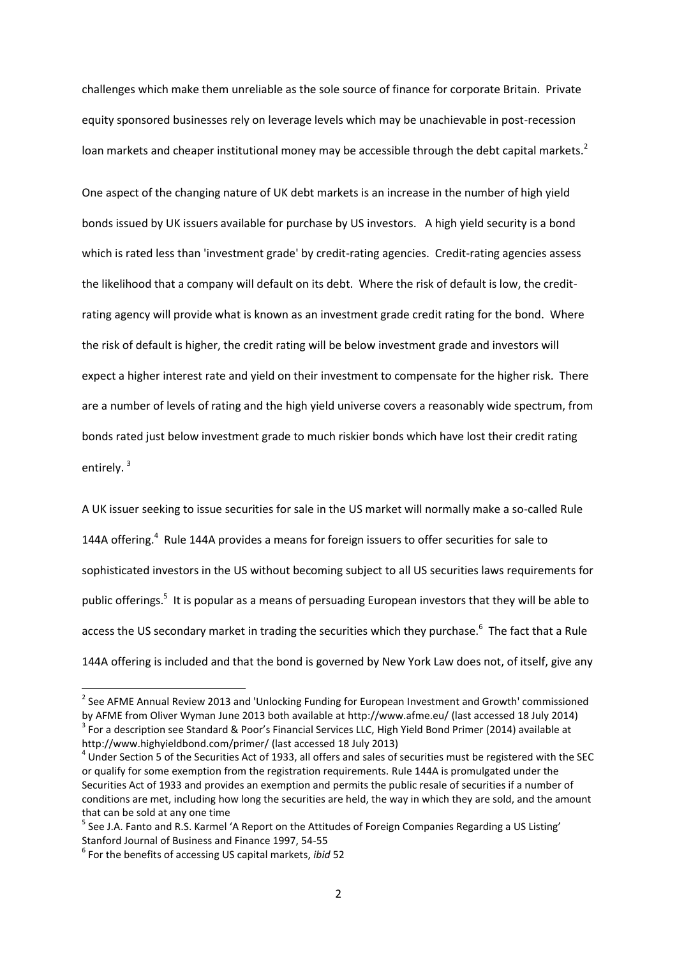challenges which make them unreliable as the sole source of finance for corporate Britain. Private equity sponsored businesses rely on leverage levels which may be unachievable in post-recession loan markets and cheaper institutional money may be accessible through the debt capital markets.<sup>2</sup>

One aspect of the changing nature of UK debt markets is an increase in the number of high yield bonds issued by UK issuers available for purchase by US investors. A high yield security is a bond which is rated less than 'investment grade' by credit-rating agencies. Credit-rating agencies assess the likelihood that a company will default on its debt. Where the risk of default is low, the creditrating agency will provide what is known as an investment grade credit rating for the bond. Where the risk of default is higher, the credit rating will be below investment grade and investors will expect a higher interest rate and yield on their investment to compensate for the higher risk. There are a number of levels of rating and the high yield universe covers a reasonably wide spectrum, from bonds rated just below investment grade to much riskier bonds which have lost their credit rating entirely.<sup>3</sup>

A UK issuer seeking to issue securities for sale in the US market will normally make a so-called Rule 144A offering.<sup>4</sup> Rule 144A provides a means for foreign issuers to offer securities for sale to sophisticated investors in the US without becoming subject to all US securities laws requirements for public offerings.<sup>5</sup> It is popular as a means of persuading European investors that they will be able to access the US secondary market in trading the securities which they purchase.<sup>6</sup> The fact that a Rule 144A offering is included and that the bond is governed by New York Law does not, of itself, give any

<sup>&</sup>lt;sup>2</sup> See AFME Annual Review 2013 and 'Unlocking Funding for European Investment and Growth' commissioned by AFME from Oliver Wyman June 2013 both available at http://www.afme.eu/ (last accessed 18 July 2014) <sup>3</sup> For a description see Standard & Poor's Financial Services LLC, High Yield Bond Primer (2014) available at http://www.highyieldbond.com/primer/ (last accessed 18 July 2013)

 $<sup>4</sup>$  Under Section 5 of the Securities Act of 1933, all offers and sales of securities must be registered with the SEC</sup> or qualify for some exemption from the registration requirements. Rule 144A is promulgated under the Securities Act of 1933 and provides an exemption and permits the public resale of securities if a number of conditions are met, including how long the securities are held, the way in which they are sold, and the amount that can be sold at any one time

<sup>&</sup>lt;sup>5</sup> See J.A. Fanto and R.S. Karmel 'A Report on the Attitudes of Foreign Companies Regarding a US Listing' Stanford Journal of Business and Finance 1997, 54-55

<sup>6</sup> For the benefits of accessing US capital markets, *ibid* 52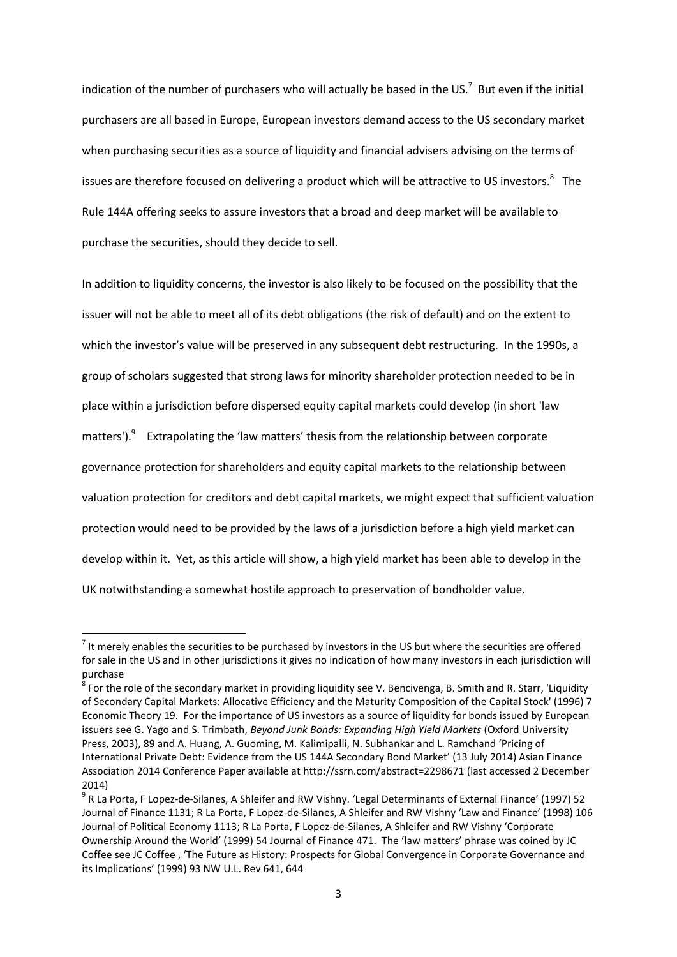indication of the number of purchasers who will actually be based in the US.<sup>7</sup> But even if the initial purchasers are all based in Europe, European investors demand access to the US secondary market when purchasing securities as a source of liquidity and financial advisers advising on the terms of issues are therefore focused on delivering a product which will be attractive to US investors.<sup>8</sup> The Rule 144A offering seeks to assure investors that a broad and deep market will be available to purchase the securities, should they decide to sell.

In addition to liquidity concerns, the investor is also likely to be focused on the possibility that the issuer will not be able to meet all of its debt obligations (the risk of default) and on the extent to which the investor's value will be preserved in any subsequent debt restructuring. In the 1990s, a group of scholars suggested that strong laws for minority shareholder protection needed to be in place within a jurisdiction before dispersed equity capital markets could develop (in short 'law matters').<sup>9</sup> Extrapolating the 'law matters' thesis from the relationship between corporate governance protection for shareholders and equity capital markets to the relationship between valuation protection for creditors and debt capital markets, we might expect that sufficient valuation protection would need to be provided by the laws of a jurisdiction before a high yield market can develop within it. Yet, as this article will show, a high yield market has been able to develop in the UK notwithstanding a somewhat hostile approach to preservation of bondholder value.

 $<sup>7</sup>$  It merely enables the securities to be purchased by investors in the US but where the securities are offered</sup> for sale in the US and in other jurisdictions it gives no indication of how many investors in each jurisdiction will purchase

 $^8$  For the role of the secondary market in providing liquidity see V. Bencivenga, B. Smith and R. Starr, 'Liquidity of Secondary Capital Markets: Allocative Efficiency and the Maturity Composition of the Capital Stock' (1996) 7 Economic Theory 19. For the importance of US investors as a source of liquidity for bonds issued by European issuers see G. Yago and S. Trimbath, *Beyond Junk Bonds: Expanding High Yield Markets* (Oxford University Press, 2003), 89 and A. Huang, A. Guoming, M. Kalimipalli, N. Subhankar and L. Ramchand 'Pricing of International Private Debt: Evidence from the US 144A Secondary Bond Market' (13 July 2014) Asian Finance Association 2014 Conference Paper available at http://ssrn.com/abstract=2298671 (last accessed 2 December 2014)

<sup>&</sup>lt;sup>9</sup> R La Porta, F Lopez-de-Silanes, A Shleifer and RW Vishny. 'Legal Determinants of External Finance' (1997) 52 Journal of Finance 1131; R La Porta, F Lopez-de-Silanes, A Shleifer and RW Vishny 'Law and Finance' (1998) 106 Journal of Political Economy 1113; R La Porta, F Lopez-de-Silanes, A Shleifer and RW Vishny 'Corporate Ownership Around the World' (1999) 54 Journal of Finance 471. The 'law matters' phrase was coined by JC Coffee see JC Coffee , 'The Future as History: Prospects for Global Convergence in Corporate Governance and its Implications' (1999) 93 NW U.L. Rev 641, 644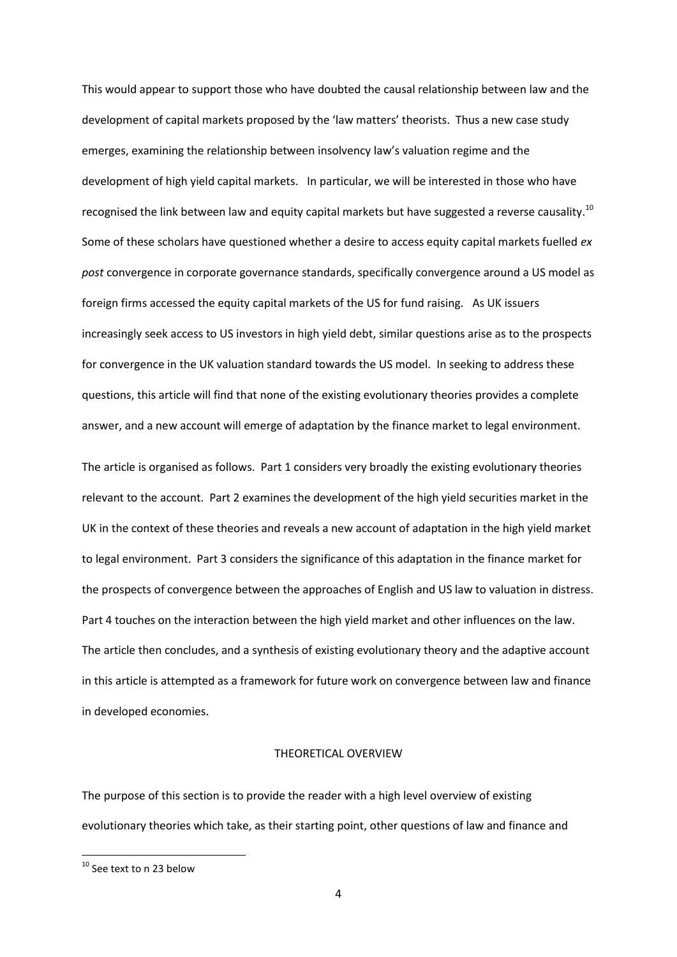This would appear to support those who have doubted the causal relationship between law and the development of capital markets proposed by the 'law matters' theorists. Thus a new case study emerges, examining the relationship between insolvency law's valuation regime and the development of high yield capital markets. In particular, we will be interested in those who have recognised the link between law and equity capital markets but have suggested a reverse causality.<sup>10</sup> Some of these scholars have questioned whether a desire to access equity capital markets fuelled *ex post* convergence in corporate governance standards, specifically convergence around a US model as foreign firms accessed the equity capital markets of the US for fund raising. As UK issuers increasingly seek access to US investors in high yield debt, similar questions arise as to the prospects for convergence in the UK valuation standard towards the US model. In seeking to address these questions, this article will find that none of the existing evolutionary theories provides a complete answer, and a new account will emerge of adaptation by the finance market to legal environment.

The article is organised as follows. Part 1 considers very broadly the existing evolutionary theories relevant to the account. Part 2 examines the development of the high yield securities market in the UK in the context of these theories and reveals a new account of adaptation in the high yield market to legal environment. Part 3 considers the significance of this adaptation in the finance market for the prospects of convergence between the approaches of English and US law to valuation in distress. Part 4 touches on the interaction between the high yield market and other influences on the law. The article then concludes, and a synthesis of existing evolutionary theory and the adaptive account in this article is attempted as a framework for future work on convergence between law and finance in developed economies.

## THEORETICAL OVERVIEW

The purpose of this section is to provide the reader with a high level overview of existing evolutionary theories which take, as their starting point, other questions of law and finance and

<sup>&</sup>lt;sup>10</sup> See text to n 23 below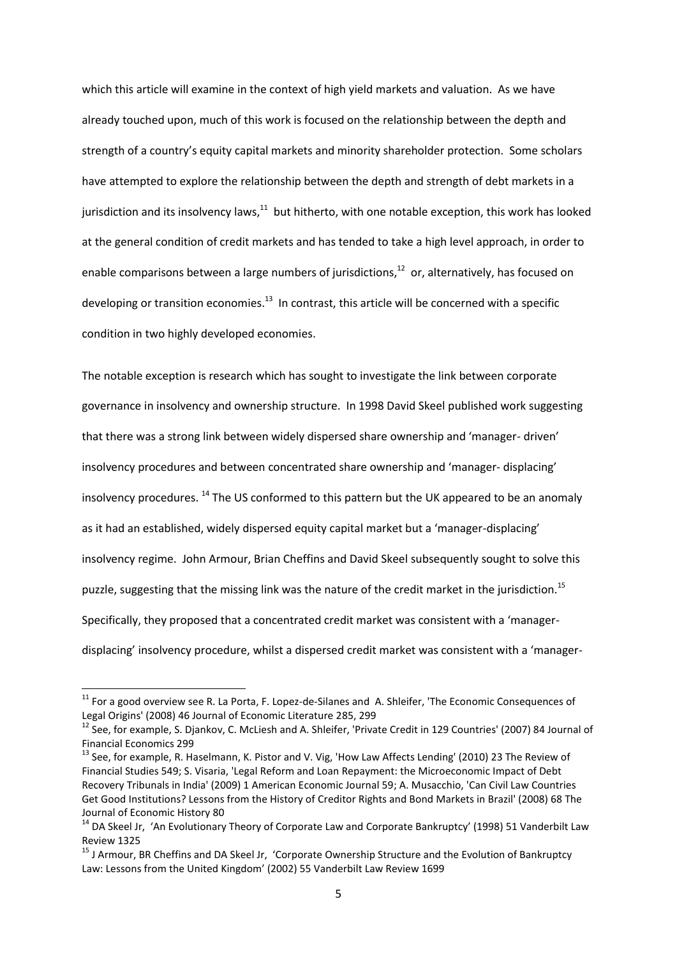which this article will examine in the context of high yield markets and valuation. As we have already touched upon, much of this work is focused on the relationship between the depth and strength of a country's equity capital markets and minority shareholder protection. Some scholars have attempted to explore the relationship between the depth and strength of debt markets in a jurisdiction and its insolvency laws,<sup>11</sup> but hitherto, with one notable exception, this work has looked at the general condition of credit markets and has tended to take a high level approach, in order to enable comparisons between a large numbers of jurisdictions, $^{12}$  or, alternatively, has focused on developing or transition economies.<sup>13</sup> In contrast, this article will be concerned with a specific condition in two highly developed economies.

The notable exception is research which has sought to investigate the link between corporate governance in insolvency and ownership structure. In 1998 David Skeel published work suggesting that there was a strong link between widely dispersed share ownership and 'manager- driven' insolvency procedures and between concentrated share ownership and 'manager- displacing' insolvency procedures. <sup>14</sup> The US conformed to this pattern but the UK appeared to be an anomaly as it had an established, widely dispersed equity capital market but a 'manager-displacing' insolvency regime. John Armour, Brian Cheffins and David Skeel subsequently sought to solve this puzzle, suggesting that the missing link was the nature of the credit market in the jurisdiction.<sup>15</sup> Specifically, they proposed that a concentrated credit market was consistent with a 'managerdisplacing' insolvency procedure, whilst a dispersed credit market was consistent with a 'manager-

 $11$  For a good overview see R. La Porta, F. Lopez-de-Silanes and A. Shleifer, 'The Economic Consequences of Legal Origins' (2008) 46 Journal of Economic Literature 285, 299

<sup>&</sup>lt;sup>12</sup> See, for example, S. Djankov, C. McLiesh and A. Shleifer, 'Private Credit in 129 Countries' (2007) 84 Journal of Financial Economics 299

<sup>&</sup>lt;sup>13</sup> See, for example, R. Haselmann, K. Pistor and V. Vig, 'How Law Affects Lending' (2010) 23 The Review of Financial Studies 549; S. Visaria, 'Legal Reform and Loan Repayment: the Microeconomic Impact of Debt Recovery Tribunals in India' (2009) 1 American Economic Journal 59; A. Musacchio, 'Can Civil Law Countries Get Good Institutions? Lessons from the History of Creditor Rights and Bond Markets in Brazil' (2008) 68 The Journal of Economic History 80

<sup>&</sup>lt;sup>14</sup> DA Skeel Jr, 'An Evolutionary Theory of Corporate Law and Corporate Bankruptcy' (1998) 51 Vanderbilt Law Review 1325

<sup>&</sup>lt;sup>15</sup> J Armour, BR Cheffins and DA Skeel Jr, 'Corporate Ownership Structure and the Evolution of Bankruptcy Law: Lessons from the United Kingdom' (2002) 55 Vanderbilt Law Review 1699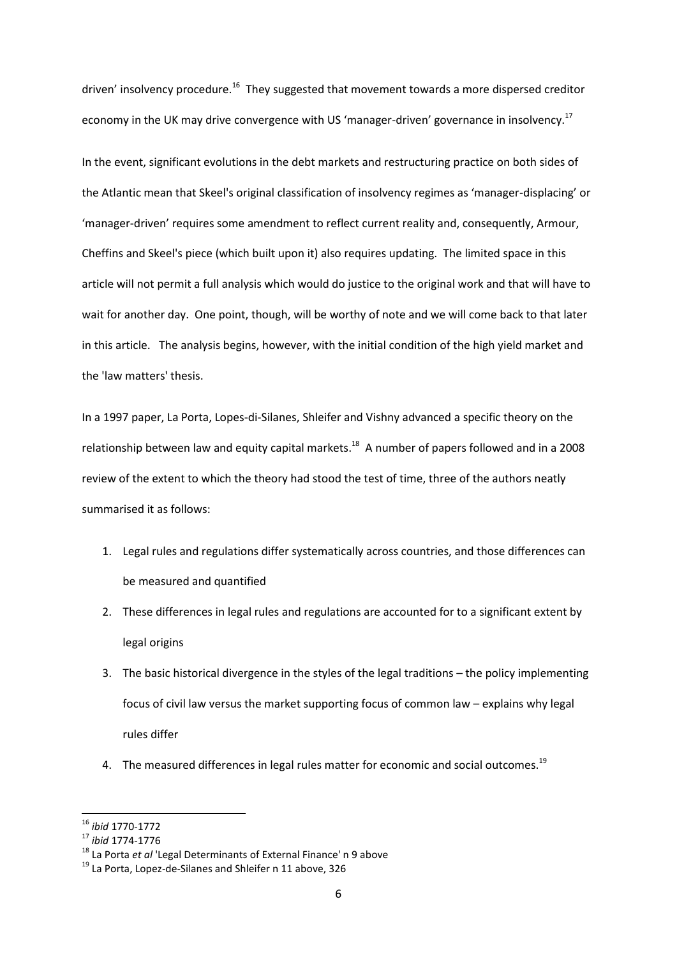driven' insolvency procedure.<sup>16</sup> They suggested that movement towards a more dispersed creditor economy in the UK may drive convergence with US 'manager-driven' governance in insolvency.<sup>17</sup>

In the event, significant evolutions in the debt markets and restructuring practice on both sides of the Atlantic mean that Skeel's original classification of insolvency regimes as 'manager-displacing' or 'manager-driven' requires some amendment to reflect current reality and, consequently, Armour, Cheffins and Skeel's piece (which built upon it) also requires updating. The limited space in this article will not permit a full analysis which would do justice to the original work and that will have to wait for another day. One point, though, will be worthy of note and we will come back to that later in this article. The analysis begins, however, with the initial condition of the high yield market and the 'law matters' thesis.

In a 1997 paper, La Porta, Lopes-di-Silanes, Shleifer and Vishny advanced a specific theory on the relationship between law and equity capital markets.<sup>18</sup> A number of papers followed and in a 2008 review of the extent to which the theory had stood the test of time, three of the authors neatly summarised it as follows:

- 1. Legal rules and regulations differ systematically across countries, and those differences can be measured and quantified
- 2. These differences in legal rules and regulations are accounted for to a significant extent by legal origins
- 3. The basic historical divergence in the styles of the legal traditions the policy implementing focus of civil law versus the market supporting focus of common law – explains why legal rules differ
- 4. The measured differences in legal rules matter for economic and social outcomes.<sup>19</sup>

<sup>16</sup> *ibid* 1770-1772

<sup>17</sup> *ibid* 1774-1776

<sup>18</sup> La Porta *et al* 'Legal Determinants of External Finance' n 9 above

<sup>19</sup> La Porta, Lopez-de-Silanes and Shleifer n 11 above, 326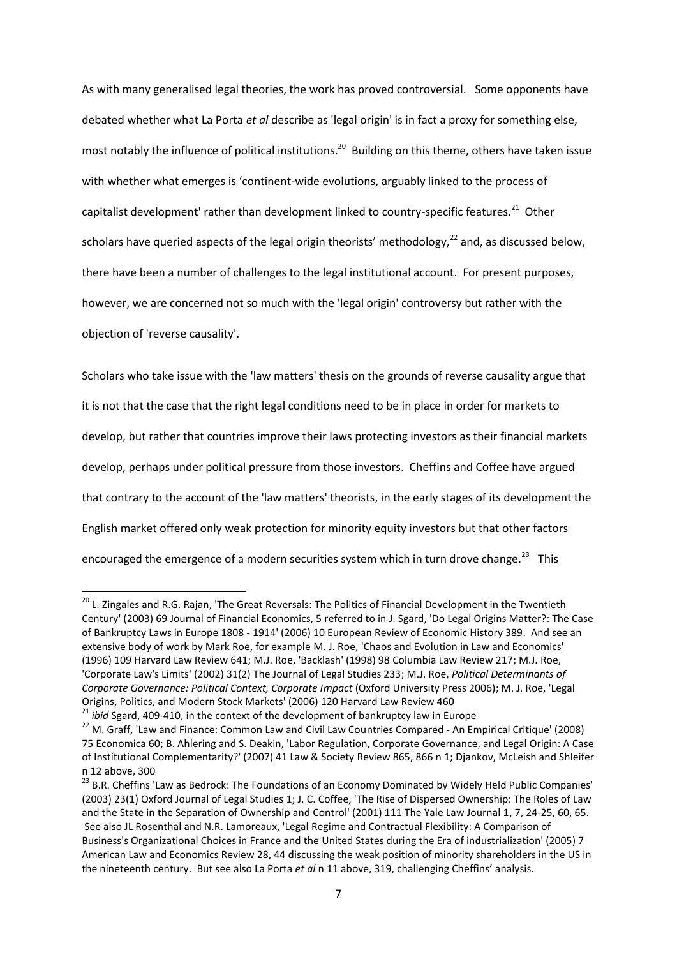As with many generalised legal theories, the work has proved controversial. Some opponents have debated whether what La Porta *et al* describe as 'legal origin' is in fact a proxy for something else, most notably the influence of political institutions.<sup>20</sup> Building on this theme, others have taken issue with whether what emerges is 'continent-wide evolutions, arguably linked to the process of capitalist development' rather than development linked to country-specific features.<sup>21</sup> Other scholars have queried aspects of the legal origin theorists' methodology, $^{22}$  and, as discussed below, there have been a number of challenges to the legal institutional account. For present purposes, however, we are concerned not so much with the 'legal origin' controversy but rather with the objection of 'reverse causality'.

Scholars who take issue with the 'law matters' thesis on the grounds of reverse causality argue that it is not that the case that the right legal conditions need to be in place in order for markets to develop, but rather that countries improve their laws protecting investors as their financial markets develop, perhaps under political pressure from those investors. Cheffins and Coffee have argued that contrary to the account of the 'law matters' theorists, in the early stages of its development the English market offered only weak protection for minority equity investors but that other factors encouraged the emergence of a modern securities system which in turn drove change.<sup>23</sup> This

<sup>&</sup>lt;sup>20</sup> L. Zingales and R.G. Rajan, 'The Great Reversals: The Politics of Financial Development in the Twentieth Century' (2003) 69 Journal of Financial Economics, 5 referred to in J. Sgard, 'Do Legal Origins Matter?: The Case of Bankruptcy Laws in Europe 1808 - 1914' (2006) 10 European Review of Economic History 389. And see an extensive body of work by Mark Roe, for example M. J. Roe, 'Chaos and Evolution in Law and Economics' (1996) 109 Harvard Law Review 641; M.J. Roe, 'Backlash' (1998) 98 Columbia Law Review 217; M.J. Roe, 'Corporate Law's Limits' (2002) 31(2) The Journal of Legal Studies 233; M.J. Roe, *Political Determinants of Corporate Governance: Political Context, Corporate Impact* (Oxford University Press 2006); M. J. Roe, 'Legal Origins, Politics, and Modern Stock Markets' (2006) 120 Harvard Law Review 460

<sup>&</sup>lt;sup>21</sup> *ibid* Sgard, 409-410, in the context of the development of bankruptcy law in Europe

<sup>&</sup>lt;sup>22</sup> M. Graff, 'Law and Finance: Common Law and Civil Law Countries Compared - An Empirical Critique' (2008) 75 Economica 60; B. Ahlering and S. Deakin, 'Labor Regulation, Corporate Governance, and Legal Origin: A Case of Institutional Complementarity?' (2007) 41 Law & Society Review 865, 866 n 1; Djankov, McLeish and Shleifer n 12 above, 300

<sup>&</sup>lt;sup>23</sup> B.R. Cheffins 'Law as Bedrock: The Foundations of an Economy Dominated by Widely Held Public Companies' (2003) 23(1) Oxford Journal of Legal Studies 1; J. C. Coffee, 'The Rise of Dispersed Ownership: The Roles of Law and the State in the Separation of Ownership and Control' (2001) 111 The Yale Law Journal 1, 7, 24-25, 60, 65. See also JL Rosenthal and N.R. Lamoreaux, 'Legal Regime and Contractual Flexibility: A Comparison of Business's Organizational Choices in France and the United States during the Era of industrialization' (2005) 7 American Law and Economics Review 28, 44 discussing the weak position of minority shareholders in the US in the nineteenth century. But see also La Porta *et al* n 11 above, 319, challenging Cheffins' analysis.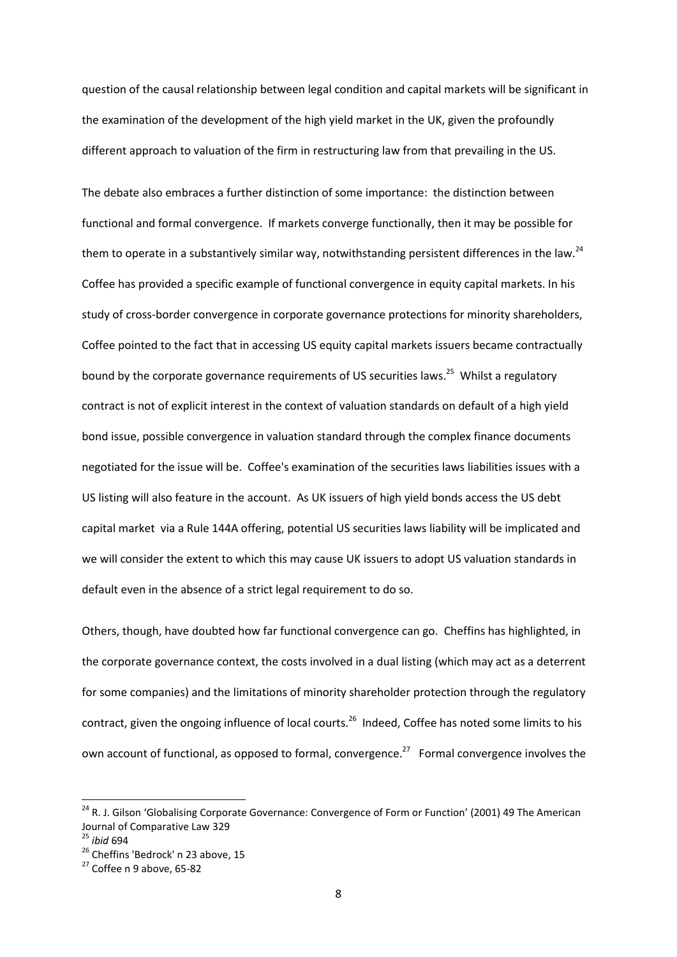question of the causal relationship between legal condition and capital markets will be significant in the examination of the development of the high yield market in the UK, given the profoundly different approach to valuation of the firm in restructuring law from that prevailing in the US.

The debate also embraces a further distinction of some importance: the distinction between functional and formal convergence. If markets converge functionally, then it may be possible for them to operate in a substantively similar way, notwithstanding persistent differences in the law.<sup>24</sup> Coffee has provided a specific example of functional convergence in equity capital markets. In his study of cross-border convergence in corporate governance protections for minority shareholders, Coffee pointed to the fact that in accessing US equity capital markets issuers became contractually bound by the corporate governance requirements of US securities laws.<sup>25</sup> Whilst a regulatory contract is not of explicit interest in the context of valuation standards on default of a high yield bond issue, possible convergence in valuation standard through the complex finance documents negotiated for the issue will be. Coffee's examination of the securities laws liabilities issues with a US listing will also feature in the account. As UK issuers of high yield bonds access the US debt capital market via a Rule 144A offering, potential US securities laws liability will be implicated and we will consider the extent to which this may cause UK issuers to adopt US valuation standards in default even in the absence of a strict legal requirement to do so.

Others, though, have doubted how far functional convergence can go. Cheffins has highlighted, in the corporate governance context, the costs involved in a dual listing (which may act as a deterrent for some companies) and the limitations of minority shareholder protection through the regulatory contract, given the ongoing influence of local courts.<sup>26</sup> Indeed, Coffee has noted some limits to his own account of functional, as opposed to formal, convergence.<sup>27</sup> Formal convergence involves the

<sup>&</sup>lt;sup>24</sup> R. J. Gilson 'Globalising Corporate Governance: Convergence of Form or Function' (2001) 49 The American Journal of Comparative Law 329

<sup>25</sup> *ibid* 694

<sup>26</sup> Cheffins 'Bedrock' n 23 above, 15

 $27$  Coffee n 9 above, 65-82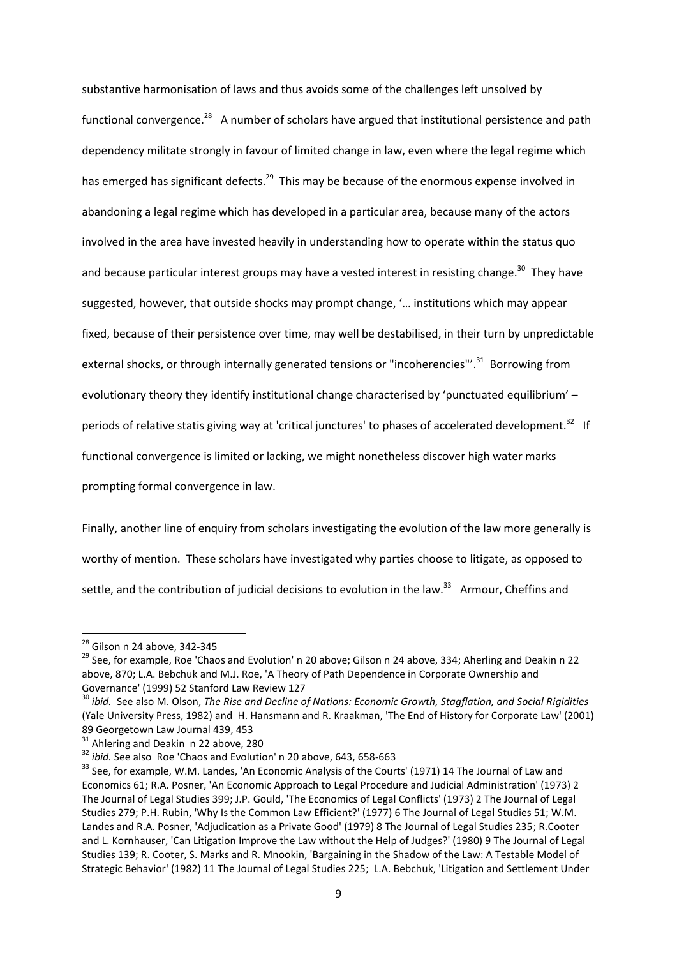substantive harmonisation of laws and thus avoids some of the challenges left unsolved by functional convergence.<sup>28</sup> A number of scholars have argued that institutional persistence and path dependency militate strongly in favour of limited change in law, even where the legal regime which has emerged has significant defects.<sup>29</sup> This may be because of the enormous expense involved in abandoning a legal regime which has developed in a particular area, because many of the actors involved in the area have invested heavily in understanding how to operate within the status quo and because particular interest groups may have a vested interest in resisting change.<sup>30</sup> They have suggested, however, that outside shocks may prompt change, '… institutions which may appear fixed, because of their persistence over time, may well be destabilised, in their turn by unpredictable external shocks, or through internally generated tensions or "incoherencies"'.<sup>31</sup> Borrowing from evolutionary theory they identify institutional change characterised by 'punctuated equilibrium' – periods of relative statis giving way at 'critical junctures' to phases of accelerated development.<sup>32</sup> If functional convergence is limited or lacking, we might nonetheless discover high water marks prompting formal convergence in law.

Finally, another line of enquiry from scholars investigating the evolution of the law more generally is worthy of mention. These scholars have investigated why parties choose to litigate, as opposed to settle, and the contribution of judicial decisions to evolution in the law.<sup>33</sup> Armour, Cheffins and

 $^{28}$  Gilson n 24 above, 342-345

<sup>&</sup>lt;sup>29</sup> See, for example, Roe 'Chaos and Evolution' n 20 above; Gilson n 24 above, 334; Aherling and Deakin n 22 above, 870; L.A. Bebchuk and M.J. Roe, 'A Theory of Path Dependence in Corporate Ownership and Governance' (1999) 52 Stanford Law Review 127

<sup>30</sup> *ibid.* See also M. Olson, *The Rise and Decline of Nations: Economic Growth, Stagflation, and Social Rigidities* (Yale University Press, 1982) and H. Hansmann and R. Kraakman, 'The End of History for Corporate Law' (2001) 89 Georgetown Law Journal 439, 453

<sup>&</sup>lt;sup>31</sup> Ahlering and Deakin n 22 above, 280

<sup>32</sup> *ibid.* See also Roe 'Chaos and Evolution' n 20 above, 643, 658-663

<sup>&</sup>lt;sup>33</sup> See, for example, W.M. Landes, 'An Economic Analysis of the Courts' (1971) 14 The Journal of Law and Economics 61; R.A. Posner, 'An Economic Approach to Legal Procedure and Judicial Administration' (1973) 2 The Journal of Legal Studies 399; J.P. Gould, 'The Economics of Legal Conflicts' (1973) 2 The Journal of Legal Studies 279; P.H. Rubin, 'Why Is the Common Law Efficient?' (1977) 6 The Journal of Legal Studies 51; W.M. Landes and R.A. Posner, 'Adjudication as a Private Good' (1979) 8 The Journal of Legal Studies 235; R.Cooter and L. Kornhauser, 'Can Litigation Improve the Law without the Help of Judges?' (1980) 9 The Journal of Legal Studies 139; R. Cooter, S. Marks and R. Mnookin, 'Bargaining in the Shadow of the Law: A Testable Model of Strategic Behavior' (1982) 11 The Journal of Legal Studies 225; L.A. Bebchuk, 'Litigation and Settlement Under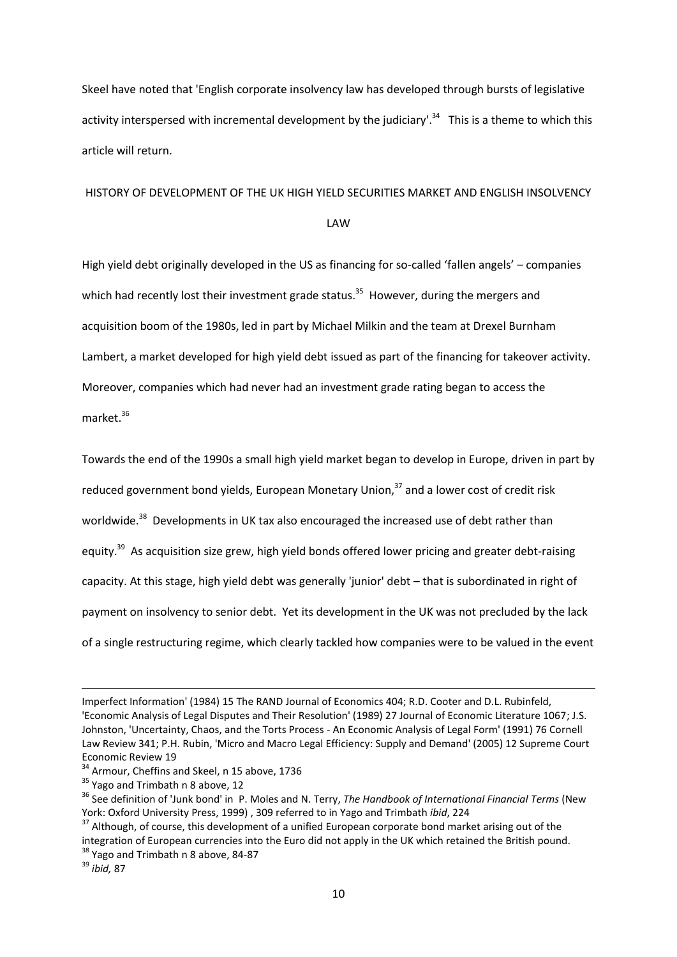Skeel have noted that 'English corporate insolvency law has developed through bursts of legislative activity interspersed with incremental development by the judiciary<sup>' 34</sup> This is a theme to which this article will return.

# HISTORY OF DEVELOPMENT OF THE UK HIGH YIELD SECURITIES MARKET AND ENGLISH INSOLVENCY

#### LAW

High yield debt originally developed in the US as financing for so-called 'fallen angels' – companies which had recently lost their investment grade status.<sup>35</sup> However, during the mergers and acquisition boom of the 1980s, led in part by Michael Milkin and the team at Drexel Burnham Lambert, a market developed for high yield debt issued as part of the financing for takeover activity. Moreover, companies which had never had an investment grade rating began to access the market.<sup>36</sup>

Towards the end of the 1990s a small high yield market began to develop in Europe, driven in part by reduced government bond yields, European Monetary Union, $37$  and a lower cost of credit risk worldwide.<sup>38</sup> Developments in UK tax also encouraged the increased use of debt rather than equity.<sup>39</sup> As acquisition size grew, high yield bonds offered lower pricing and greater debt-raising capacity. At this stage, high yield debt was generally 'junior' debt – that is subordinated in right of payment on insolvency to senior debt. Yet its development in the UK was not precluded by the lack of a single restructuring regime, which clearly tackled how companies were to be valued in the event

Imperfect Information' (1984) 15 The RAND Journal of Economics 404; R.D. Cooter and D.L. Rubinfeld, 'Economic Analysis of Legal Disputes and Their Resolution' (1989) 27 Journal of Economic Literature 1067; J.S. Johnston, 'Uncertainty, Chaos, and the Torts Process - An Economic Analysis of Legal Form' (1991) 76 Cornell Law Review 341; P.H. Rubin, 'Micro and Macro Legal Efficiency: Supply and Demand' (2005) 12 Supreme Court Economic Review 19

<sup>&</sup>lt;sup>34</sup> Armour, Cheffins and Skeel, n 15 above, 1736

<sup>&</sup>lt;sup>35</sup> Yago and Trimbath n 8 above, 12

<sup>36</sup> See definition of 'Junk bond' in P. Moles and N. Terry, *The Handbook of International Financial Terms* (New York: Oxford University Press, 1999) , 309 referred to in Yago and Trimbath *ibid*, 224

<sup>&</sup>lt;sup>37</sup> Although, of course, this development of a unified European corporate bond market arising out of the integration of European currencies into the Euro did not apply in the UK which retained the British pound.

<sup>&</sup>lt;sup>38</sup> Yago and Trimbath n 8 above, 84-87

<sup>39</sup> *ibid,* 87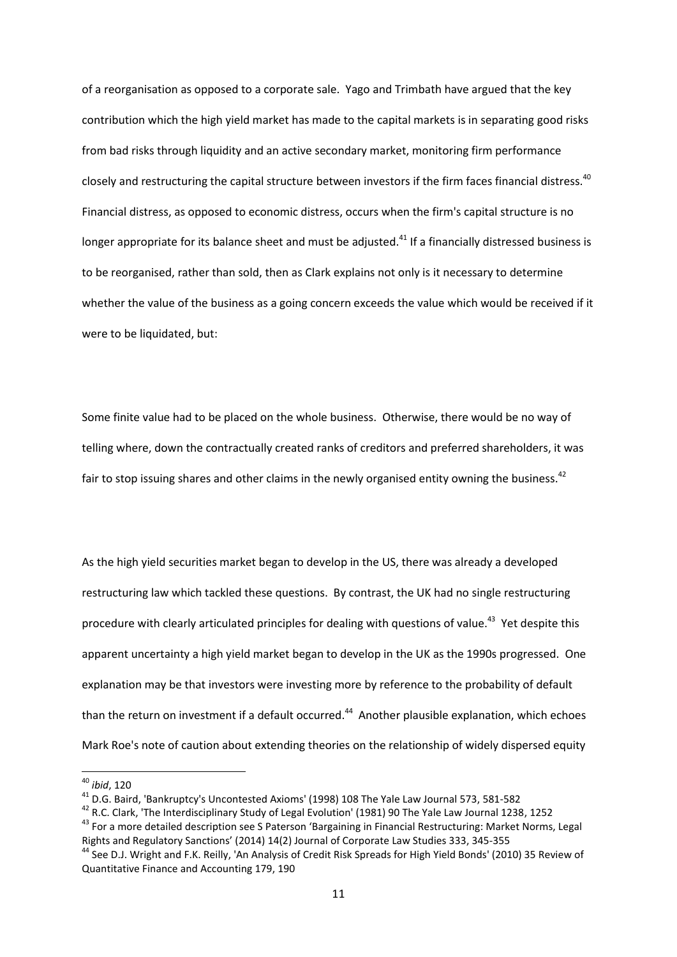of a reorganisation as opposed to a corporate sale. Yago and Trimbath have argued that the key contribution which the high yield market has made to the capital markets is in separating good risks from bad risks through liquidity and an active secondary market, monitoring firm performance closely and restructuring the capital structure between investors if the firm faces financial distress.<sup>40</sup> Financial distress, as opposed to economic distress, occurs when the firm's capital structure is no longer appropriate for its balance sheet and must be adjusted.<sup>41</sup> If a financially distressed business is to be reorganised, rather than sold, then as Clark explains not only is it necessary to determine whether the value of the business as a going concern exceeds the value which would be received if it were to be liquidated, but:

Some finite value had to be placed on the whole business. Otherwise, there would be no way of telling where, down the contractually created ranks of creditors and preferred shareholders, it was fair to stop issuing shares and other claims in the newly organised entity owning the business.<sup>42</sup>

As the high yield securities market began to develop in the US, there was already a developed restructuring law which tackled these questions. By contrast, the UK had no single restructuring procedure with clearly articulated principles for dealing with questions of value.<sup>43</sup> Yet despite this apparent uncertainty a high yield market began to develop in the UK as the 1990s progressed. One explanation may be that investors were investing more by reference to the probability of default than the return on investment if a default occurred.<sup>44</sup> Another plausible explanation, which echoes Mark Roe's note of caution about extending theories on the relationship of widely dispersed equity

<sup>40</sup> *ibid*, 120

<sup>41</sup> D.G. Baird, 'Bankruptcy's Uncontested Axioms' (1998) 108 The Yale Law Journal 573, 581-582

<sup>&</sup>lt;sup>42</sup> R.C. Clark, 'The Interdisciplinary Study of Legal Evolution' (1981) 90 The Yale Law Journal 1238, 1252

<sup>&</sup>lt;sup>43</sup> For a more detailed description see S Paterson 'Bargaining in Financial Restructuring: Market Norms, Legal Rights and Regulatory Sanctions' (2014) 14(2) Journal of Corporate Law Studies 333, 345-355

<sup>&</sup>lt;sup>44</sup> See D.J. Wright and F.K. Reilly, 'An Analysis of Credit Risk Spreads for High Yield Bonds' (2010) 35 Review of Quantitative Finance and Accounting 179, 190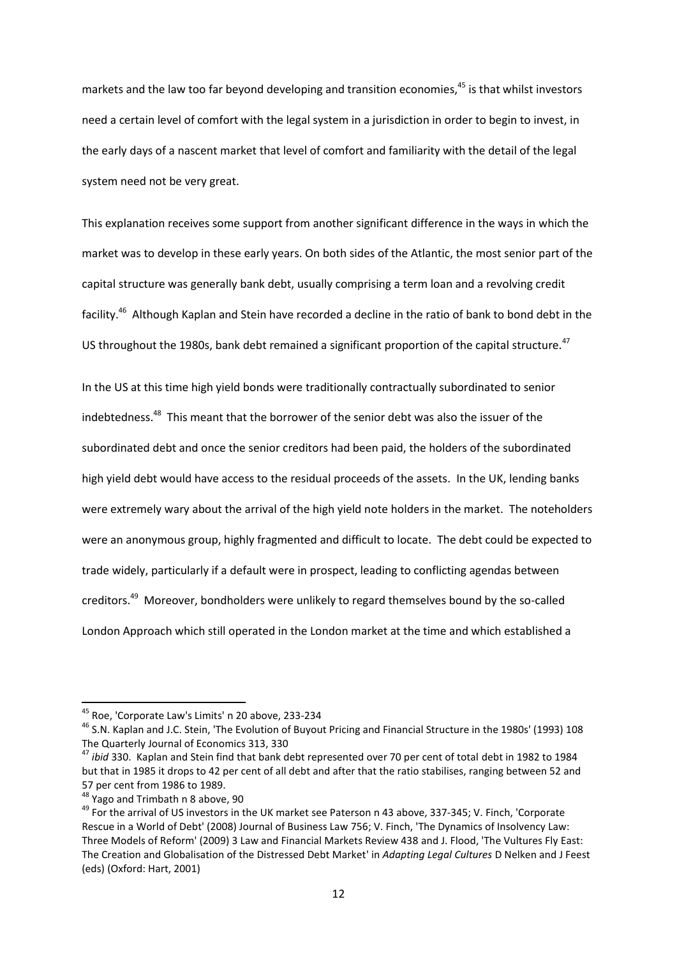markets and the law too far beyond developing and transition economies,<sup>45</sup> is that whilst investors need a certain level of comfort with the legal system in a jurisdiction in order to begin to invest, in the early days of a nascent market that level of comfort and familiarity with the detail of the legal system need not be very great.

This explanation receives some support from another significant difference in the ways in which the market was to develop in these early years. On both sides of the Atlantic, the most senior part of the capital structure was generally bank debt, usually comprising a term loan and a revolving credit facility.<sup>46</sup> Although Kaplan and Stein have recorded a decline in the ratio of bank to bond debt in the US throughout the 1980s, bank debt remained a significant proportion of the capital structure.<sup>47</sup>

In the US at this time high yield bonds were traditionally contractually subordinated to senior indebtedness.<sup>48</sup> This meant that the borrower of the senior debt was also the issuer of the subordinated debt and once the senior creditors had been paid, the holders of the subordinated high yield debt would have access to the residual proceeds of the assets. In the UK, lending banks were extremely wary about the arrival of the high yield note holders in the market. The noteholders were an anonymous group, highly fragmented and difficult to locate. The debt could be expected to trade widely, particularly if a default were in prospect, leading to conflicting agendas between creditors.<sup>49</sup> Moreover, bondholders were unlikely to regard themselves bound by the so-called London Approach which still operated in the London market at the time and which established a

<sup>45</sup> Roe, 'Corporate Law's Limits' n 20 above, 233-234

<sup>46</sup> S.N. Kaplan and J.C. Stein, 'The Evolution of Buyout Pricing and Financial Structure in the 1980s' (1993) 108 The Quarterly Journal of Economics 313, 330

<sup>47</sup> *ibid* 330. Kaplan and Stein find that bank debt represented over 70 per cent of total debt in 1982 to 1984 but that in 1985 it drops to 42 per cent of all debt and after that the ratio stabilises, ranging between 52 and 57 per cent from 1986 to 1989.

<sup>&</sup>lt;sup>48</sup> Yago and Trimbath n 8 above, 90

<sup>&</sup>lt;sup>49</sup> For the arrival of US investors in the UK market see Paterson n 43 above, 337-345; V. Finch, 'Corporate Rescue in a World of Debt' (2008) Journal of Business Law 756; V. Finch, 'The Dynamics of Insolvency Law: Three Models of Reform' (2009) 3 Law and Financial Markets Review 438 and J. Flood, 'The Vultures Fly East: The Creation and Globalisation of the Distressed Debt Market' in *Adapting Legal Cultures* D Nelken and J Feest (eds) (Oxford: Hart, 2001)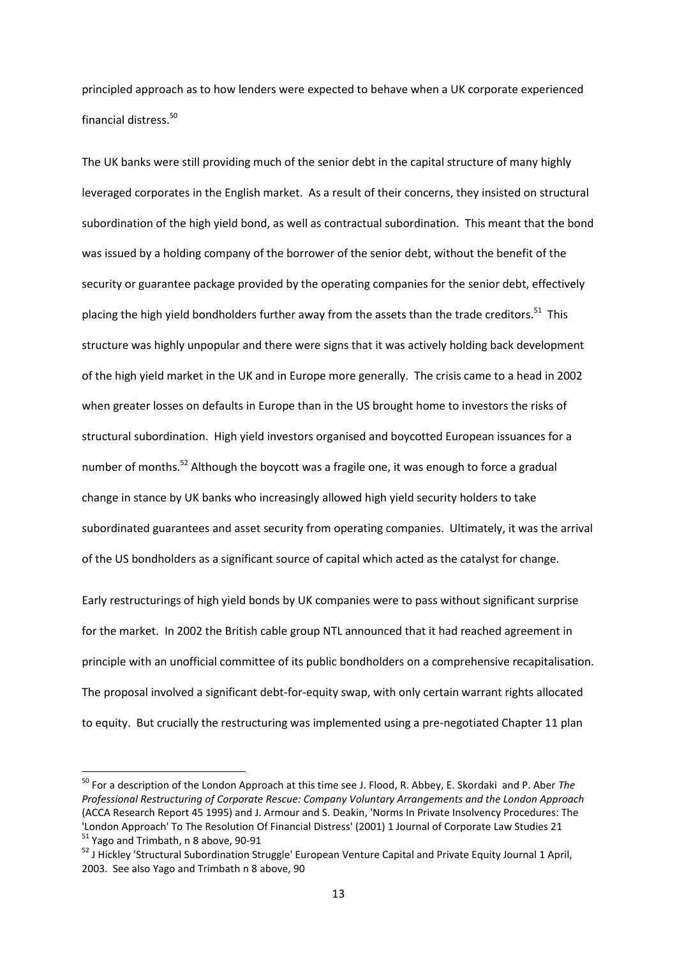principled approach as to how lenders were expected to behave when a UK corporate experienced financial distress.<sup>50</sup>

The UK banks were still providing much of the senior debt in the capital structure of many highly leveraged corporates in the English market. As a result of their concerns, they insisted on structural subordination of the high yield bond, as well as contractual subordination. This meant that the bond was issued by a holding company of the borrower of the senior debt, without the benefit of the security or guarantee package provided by the operating companies for the senior debt, effectively placing the high yield bondholders further away from the assets than the trade creditors.<sup>51</sup> This structure was highly unpopular and there were signs that it was actively holding back development of the high yield market in the UK and in Europe more generally. The crisis came to a head in 2002 when greater losses on defaults in Europe than in the US brought home to investors the risks of structural subordination. High yield investors organised and boycotted European issuances for a number of months.<sup>52</sup> Although the boycott was a fragile one, it was enough to force a gradual change in stance by UK banks who increasingly allowed high yield security holders to take subordinated guarantees and asset security from operating companies. Ultimately, it was the arrival of the US bondholders as a significant source of capital which acted as the catalyst for change.

Early restructurings of high yield bonds by UK companies were to pass without significant surprise for the market. In 2002 the British cable group NTL announced that it had reached agreement in principle with an unofficial committee of its public bondholders on a comprehensive recapitalisation. The proposal involved a significant debt-for-equity swap, with only certain warrant rights allocated to equity. But crucially the restructuring was implemented using a pre-negotiated Chapter 11 plan

<sup>50</sup> For a description of the London Approach at this time see J. Flood, R. Abbey, E. Skordaki and P. Aber *The Professional Restructuring of Corporate Rescue: Company Voluntary Arrangements and the London Approach* (ACCA Research Report 45 1995) and J. Armour and S. Deakin, 'Norms In Private Insolvency Procedures: The 'London Approach' To The Resolution Of Financial Distress' (2001) 1 Journal of Corporate Law Studies 21 <sup>51</sup> Yago and Trimbath, n 8 above, 90-91

<sup>&</sup>lt;sup>52</sup> J Hickley 'Structural Subordination Struggle' European Venture Capital and Private Equity Journal 1 April, 2003. See also Yago and Trimbath n 8 above, 90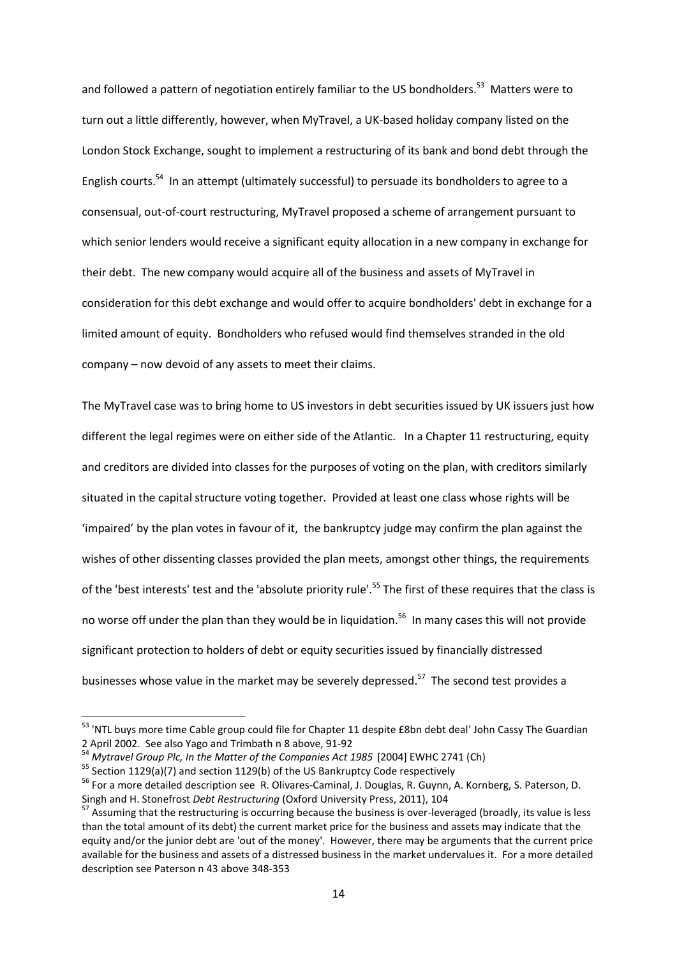and followed a pattern of negotiation entirely familiar to the US bondholders.<sup>53</sup> Matters were to turn out a little differently, however, when MyTravel, a UK-based holiday company listed on the London Stock Exchange, sought to implement a restructuring of its bank and bond debt through the English courts.<sup>54</sup> In an attempt (ultimately successful) to persuade its bondholders to agree to a consensual, out-of-court restructuring, MyTravel proposed a scheme of arrangement pursuant to which senior lenders would receive a significant equity allocation in a new company in exchange for their debt. The new company would acquire all of the business and assets of MyTravel in consideration for this debt exchange and would offer to acquire bondholders' debt in exchange for a limited amount of equity. Bondholders who refused would find themselves stranded in the old company – now devoid of any assets to meet their claims.

The MyTravel case was to bring home to US investors in debt securities issued by UK issuers just how different the legal regimes were on either side of the Atlantic. In a Chapter 11 restructuring, equity and creditors are divided into classes for the purposes of voting on the plan, with creditors similarly situated in the capital structure voting together. Provided at least one class whose rights will be 'impaired' by the plan votes in favour of it, the bankruptcy judge may confirm the plan against the wishes of other dissenting classes provided the plan meets, amongst other things, the requirements of the 'best interests' test and the 'absolute priority rule'.<sup>55</sup> The first of these requires that the class is no worse off under the plan than they would be in liquidation. 56 In many cases this will not provide significant protection to holders of debt or equity securities issued by financially distressed businesses whose value in the market may be severely depressed.<sup>57</sup> The second test provides a

<sup>&</sup>lt;sup>53</sup> 'NTL buys more time Cable group could file for Chapter 11 despite £8bn debt deal' John Cassy The Guardian 2 April 2002. See also Yago and Trimbath n 8 above, 91-92

<sup>54</sup> *Mytravel Group Plc, In the Matter of the Companies Act 1985* [2004] EWHC 2741 (Ch)

 $55$  Section 1129(a)(7) and section 1129(b) of the US Bankruptcy Code respectively

<sup>56</sup> For a more detailed description see R. Olivares-Caminal, J. Douglas, R. Guynn, A. Kornberg, S. Paterson, D. Singh and H. Stonefrost *Debt Restructuring* (Oxford University Press, 2011), 104

<sup>&</sup>lt;sup>57</sup> Assuming that the restructuring is occurring because the business is over-leveraged (broadly, its value is less than the total amount of its debt) the current market price for the business and assets may indicate that the equity and/or the junior debt are 'out of the money'. However, there may be arguments that the current price available for the business and assets of a distressed business in the market undervalues it. For a more detailed description see Paterson n 43 above 348-353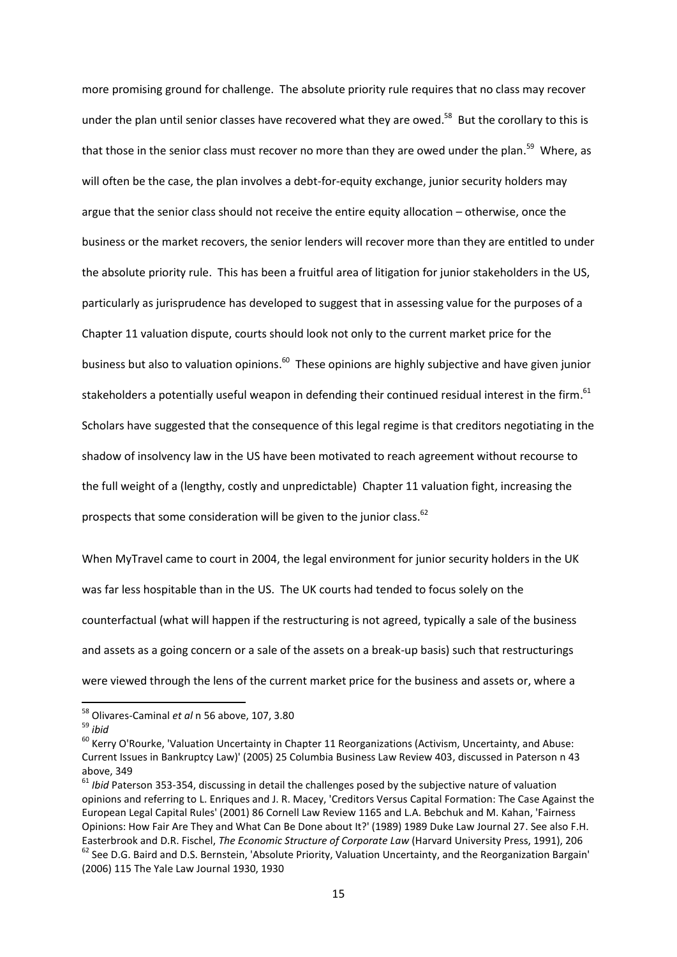more promising ground for challenge. The absolute priority rule requires that no class may recover under the plan until senior classes have recovered what they are owed.<sup>58</sup> But the corollary to this is that those in the senior class must recover no more than they are owed under the plan.<sup>59</sup> Where, as will often be the case, the plan involves a debt-for-equity exchange, junior security holders may argue that the senior class should not receive the entire equity allocation – otherwise, once the business or the market recovers, the senior lenders will recover more than they are entitled to under the absolute priority rule. This has been a fruitful area of litigation for junior stakeholders in the US, particularly as jurisprudence has developed to suggest that in assessing value for the purposes of a Chapter 11 valuation dispute, courts should look not only to the current market price for the business but also to valuation opinions.<sup>60</sup> These opinions are highly subjective and have given junior stakeholders a potentially useful weapon in defending their continued residual interest in the firm.<sup>61</sup> Scholars have suggested that the consequence of this legal regime is that creditors negotiating in the shadow of insolvency law in the US have been motivated to reach agreement without recourse to the full weight of a (lengthy, costly and unpredictable) Chapter 11 valuation fight, increasing the prospects that some consideration will be given to the junior class.<sup>62</sup>

When MyTravel came to court in 2004, the legal environment for junior security holders in the UK was far less hospitable than in the US. The UK courts had tended to focus solely on the counterfactual (what will happen if the restructuring is not agreed, typically a sale of the business and assets as a going concern or a sale of the assets on a break-up basis) such that restructurings

were viewed through the lens of the current market price for the business and assets or, where a

<sup>58</sup> Olivares-Caminal *et al* n 56 above, 107, 3.80

<sup>59</sup> *ibid*

<sup>&</sup>lt;sup>60</sup> Kerry O'Rourke, 'Valuation Uncertainty in Chapter 11 Reorganizations (Activism, Uncertainty, and Abuse: Current Issues in Bankruptcy Law)' (2005) 25 Columbia Business Law Review 403, discussed in Paterson n 43 above, 349

<sup>&</sup>lt;sup>61</sup> *Ibid* Paterson 353-354, discussing in detail the challenges posed by the subjective nature of valuation opinions and referring to L. Enriques and J. R. Macey, 'Creditors Versus Capital Formation: The Case Against the European Legal Capital Rules' (2001) 86 Cornell Law Review 1165 and L.A. Bebchuk and M. Kahan, 'Fairness Opinions: How Fair Are They and What Can Be Done about It?' (1989) 1989 Duke Law Journal 27. See also F.H. Easterbrook and D.R. Fischel, *The Economic Structure of Corporate Law* (Harvard University Press, 1991), 206  $62$  See D.G. Baird and D.S. Bernstein, 'Absolute Priority, Valuation Uncertainty, and the Reorganization Bargain' (2006) 115 The Yale Law Journal 1930, 1930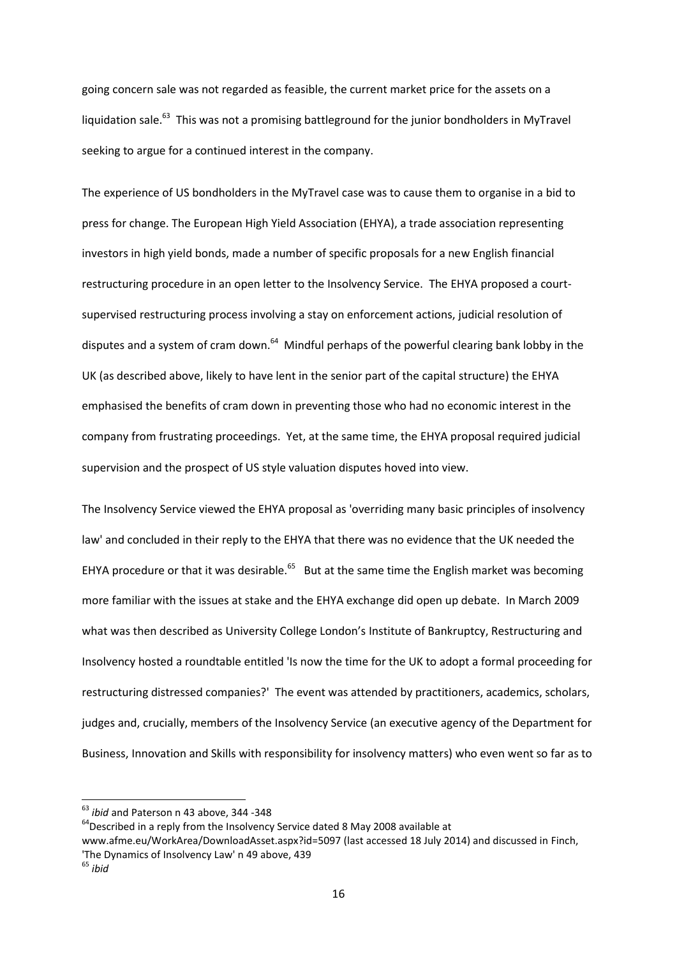going concern sale was not regarded as feasible, the current market price for the assets on a liquidation sale.<sup>63</sup> This was not a promising battleground for the junior bondholders in MyTravel seeking to argue for a continued interest in the company.

The experience of US bondholders in the MyTravel case was to cause them to organise in a bid to press for change. The European High Yield Association (EHYA), a trade association representing investors in high yield bonds, made a number of specific proposals for a new English financial restructuring procedure in an open letter to the Insolvency Service. The EHYA proposed a courtsupervised restructuring process involving a stay on enforcement actions, judicial resolution of disputes and a system of cram down.<sup>64</sup> Mindful perhaps of the powerful clearing bank lobby in the UK (as described above, likely to have lent in the senior part of the capital structure) the EHYA emphasised the benefits of cram down in preventing those who had no economic interest in the company from frustrating proceedings. Yet, at the same time, the EHYA proposal required judicial supervision and the prospect of US style valuation disputes hoved into view.

The Insolvency Service viewed the EHYA proposal as 'overriding many basic principles of insolvency law' and concluded in their reply to the EHYA that there was no evidence that the UK needed the EHYA procedure or that it was desirable.<sup>65</sup> But at the same time the English market was becoming more familiar with the issues at stake and the EHYA exchange did open up debate. In March 2009 what was then described as University College London's Institute of Bankruptcy, Restructuring and Insolvency hosted a roundtable entitled 'Is now the time for the UK to adopt a formal proceeding for restructuring distressed companies?' The event was attended by practitioners, academics, scholars, judges and, crucially, members of the Insolvency Service (an executive agency of the Department for Business, Innovation and Skills with responsibility for insolvency matters) who even went so far as to

<sup>63</sup> *ibid* and Paterson n 43 above, 344 -348

 $64$  Described in a reply from the Insolvency Service dated 8 May 2008 available at

www.afme.eu/WorkArea/DownloadAsset.aspx?id=5097 (last accessed 18 July 2014) and discussed in Finch, 'The Dynamics of Insolvency Law' n 49 above, 439

<sup>65</sup> *ibid*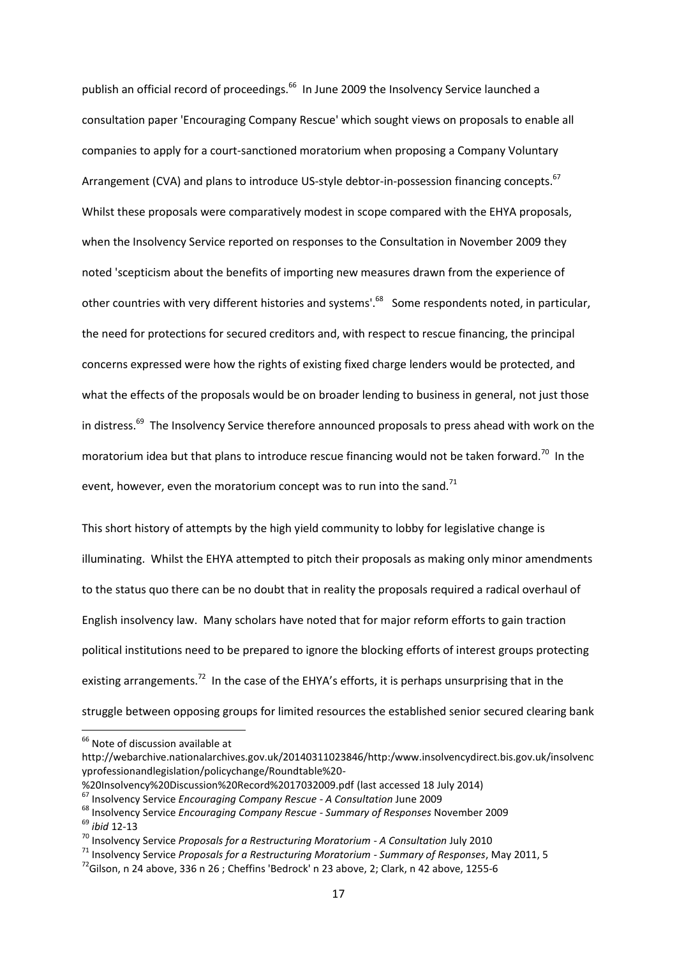publish an official record of proceedings.<sup>66</sup> In June 2009 the Insolvency Service launched a consultation paper 'Encouraging Company Rescue' which sought views on proposals to enable all companies to apply for a court-sanctioned moratorium when proposing a Company Voluntary Arrangement (CVA) and plans to introduce US-style debtor-in-possession financing concepts.<sup>67</sup> Whilst these proposals were comparatively modest in scope compared with the EHYA proposals, when the Insolvency Service reported on responses to the Consultation in November 2009 they noted 'scepticism about the benefits of importing new measures drawn from the experience of other countries with very different histories and systems'.<sup>68</sup> Some respondents noted, in particular, the need for protections for secured creditors and, with respect to rescue financing, the principal concerns expressed were how the rights of existing fixed charge lenders would be protected, and what the effects of the proposals would be on broader lending to business in general, not just those in distress.<sup>69</sup> The Insolvency Service therefore announced proposals to press ahead with work on the moratorium idea but that plans to introduce rescue financing would not be taken forward.<sup>70</sup> In the event, however, even the moratorium concept was to run into the sand.<sup>71</sup>

This short history of attempts by the high yield community to lobby for legislative change is illuminating. Whilst the EHYA attempted to pitch their proposals as making only minor amendments to the status quo there can be no doubt that in reality the proposals required a radical overhaul of English insolvency law. Many scholars have noted that for major reform efforts to gain traction political institutions need to be prepared to ignore the blocking efforts of interest groups protecting existing arrangements.<sup>72</sup> In the case of the EHYA's efforts, it is perhaps unsurprising that in the struggle between opposing groups for limited resources the established senior secured clearing bank

<sup>&</sup>lt;sup>66</sup> Note of discussion available at

http://webarchive.nationalarchives.gov.uk/20140311023846/http:/www.insolvencydirect.bis.gov.uk/insolvenc yprofessionandlegislation/policychange/Roundtable%20-

<sup>%20</sup>Insolvency%20Discussion%20Record%2017032009.pdf (last accessed 18 July 2014)

<sup>67</sup> Insolvency Service *Encouraging Company Rescue - A Consultation* June 2009

<sup>68</sup> Insolvency Service *Encouraging Company Rescue - Summary of Responses* November 2009 <sup>69</sup> *ibid* 12-13

<sup>70</sup> Insolvency Service *Proposals for a Restructuring Moratorium* - *A Consultation* July 2010

<sup>71</sup> Insolvency Service *Proposals for a Restructuring Moratorium - Summary of Responses*, May 2011, 5

 $172$ Gilson, n 24 above, 336 n 26 ; Cheffins 'Bedrock' n 23 above, 2; Clark, n 42 above, 1255-6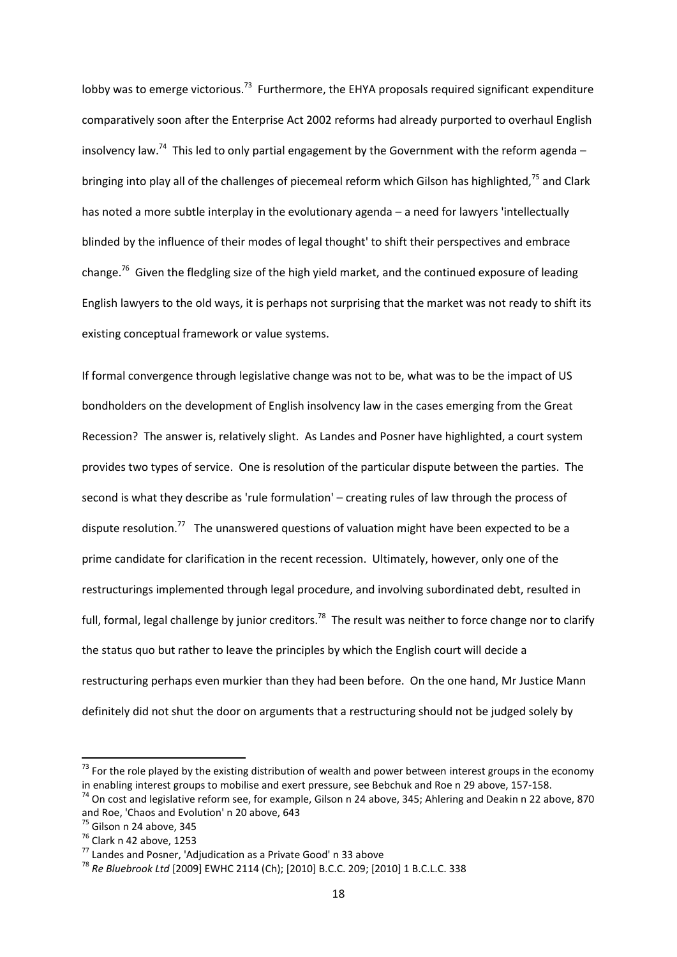lobby was to emerge victorious.<sup>73</sup> Furthermore, the EHYA proposals required significant expenditure comparatively soon after the Enterprise Act 2002 reforms had already purported to overhaul English insolvency law.<sup>74</sup> This led to only partial engagement by the Government with the reform agenda bringing into play all of the challenges of piecemeal reform which Gilson has highlighted,<sup>75</sup> and Clark has noted a more subtle interplay in the evolutionary agenda – a need for lawyers 'intellectually blinded by the influence of their modes of legal thought' to shift their perspectives and embrace change.<sup>76</sup> Given the fledgling size of the high yield market, and the continued exposure of leading English lawyers to the old ways, it is perhaps not surprising that the market was not ready to shift its existing conceptual framework or value systems.

If formal convergence through legislative change was not to be, what was to be the impact of US bondholders on the development of English insolvency law in the cases emerging from the Great Recession? The answer is, relatively slight. As Landes and Posner have highlighted, a court system provides two types of service. One is resolution of the particular dispute between the parties. The second is what they describe as 'rule formulation' – creating rules of law through the process of dispute resolution.<sup>77</sup> The unanswered questions of valuation might have been expected to be a prime candidate for clarification in the recent recession. Ultimately, however, only one of the restructurings implemented through legal procedure, and involving subordinated debt, resulted in full, formal, legal challenge by junior creditors.<sup>78</sup> The result was neither to force change nor to clarify the status quo but rather to leave the principles by which the English court will decide a restructuring perhaps even murkier than they had been before. On the one hand, Mr Justice Mann definitely did not shut the door on arguments that a restructuring should not be judged solely by

 $^{73}$  For the role played by the existing distribution of wealth and power between interest groups in the economy in enabling interest groups to mobilise and exert pressure, see Bebchuk and Roe n 29 above, 157-158.

 $74$  On cost and legislative reform see, for example, Gilson n 24 above, 345; Ahlering and Deakin n 22 above, 870 and Roe, 'Chaos and Evolution' n 20 above, 643

<sup>&</sup>lt;sup>75</sup> Gilson n 24 above, 345

 $76$  Clark n 42 above, 1253

 $77$  Landes and Posner, 'Adjudication as a Private Good' n 33 above

<sup>78</sup> *Re Bluebrook Ltd* [2009] EWHC 2114 (Ch); [2010] B.C.C. 209; [2010] 1 B.C.L.C. 338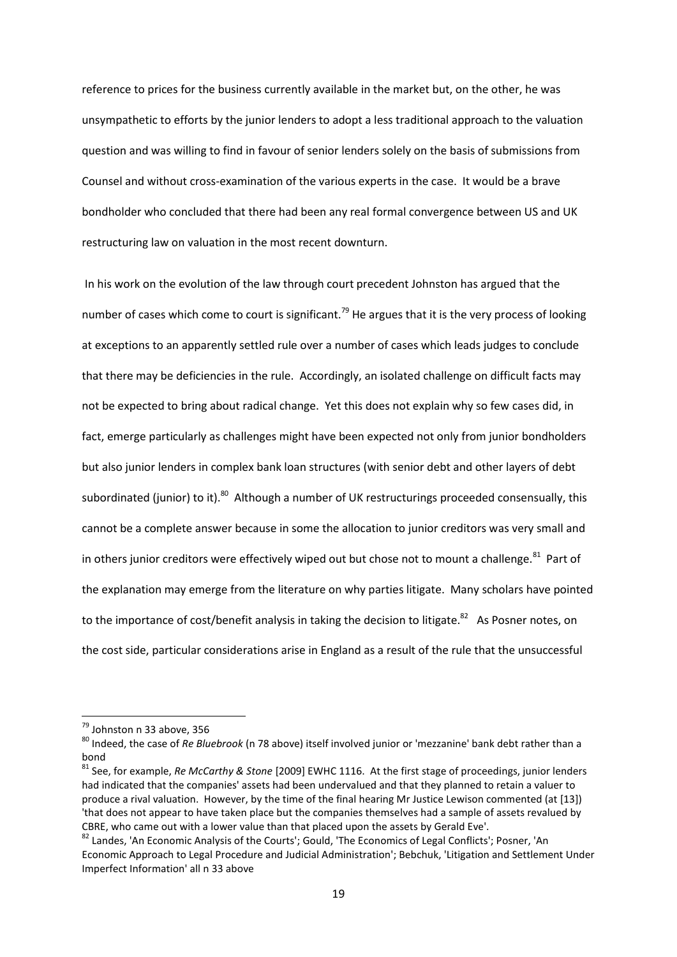reference to prices for the business currently available in the market but, on the other, he was unsympathetic to efforts by the junior lenders to adopt a less traditional approach to the valuation question and was willing to find in favour of senior lenders solely on the basis of submissions from Counsel and without cross-examination of the various experts in the case. It would be a brave bondholder who concluded that there had been any real formal convergence between US and UK restructuring law on valuation in the most recent downturn.

In his work on the evolution of the law through court precedent Johnston has argued that the number of cases which come to court is significant.<sup>79</sup> He argues that it is the very process of looking at exceptions to an apparently settled rule over a number of cases which leads judges to conclude that there may be deficiencies in the rule. Accordingly, an isolated challenge on difficult facts may not be expected to bring about radical change. Yet this does not explain why so few cases did, in fact, emerge particularly as challenges might have been expected not only from junior bondholders but also junior lenders in complex bank loan structures (with senior debt and other layers of debt subordinated (junior) to it).<sup>80</sup> Although a number of UK restructurings proceeded consensually, this cannot be a complete answer because in some the allocation to junior creditors was very small and in others junior creditors were effectively wiped out but chose not to mount a challenge.<sup>81</sup> Part of the explanation may emerge from the literature on why parties litigate. Many scholars have pointed to the importance of cost/benefit analysis in taking the decision to litigate.<sup>82</sup> As Posner notes, on the cost side, particular considerations arise in England as a result of the rule that the unsuccessful

<sup>&</sup>lt;sup>79</sup> Johnston n 33 above, 356

<sup>80</sup> Indeed, the case of *Re Bluebrook* (n 78 above) itself involved junior or 'mezzanine' bank debt rather than a bond

<sup>81</sup> See, for example, *Re McCarthy & Stone* [2009] EWHC 1116. At the first stage of proceedings, junior lenders had indicated that the companies' assets had been undervalued and that they planned to retain a valuer to produce a rival valuation. However, by the time of the final hearing Mr Justice Lewison commented (at [13]) 'that does not appear to have taken place but the companies themselves had a sample of assets revalued by CBRE, who came out with a lower value than that placed upon the assets by Gerald Eve'.

<sup>&</sup>lt;sup>82</sup> Landes, 'An Economic Analysis of the Courts'; Gould, 'The Economics of Legal Conflicts'; Posner, 'An Economic Approach to Legal Procedure and Judicial Administration'; Bebchuk, 'Litigation and Settlement Under Imperfect Information' all n 33 above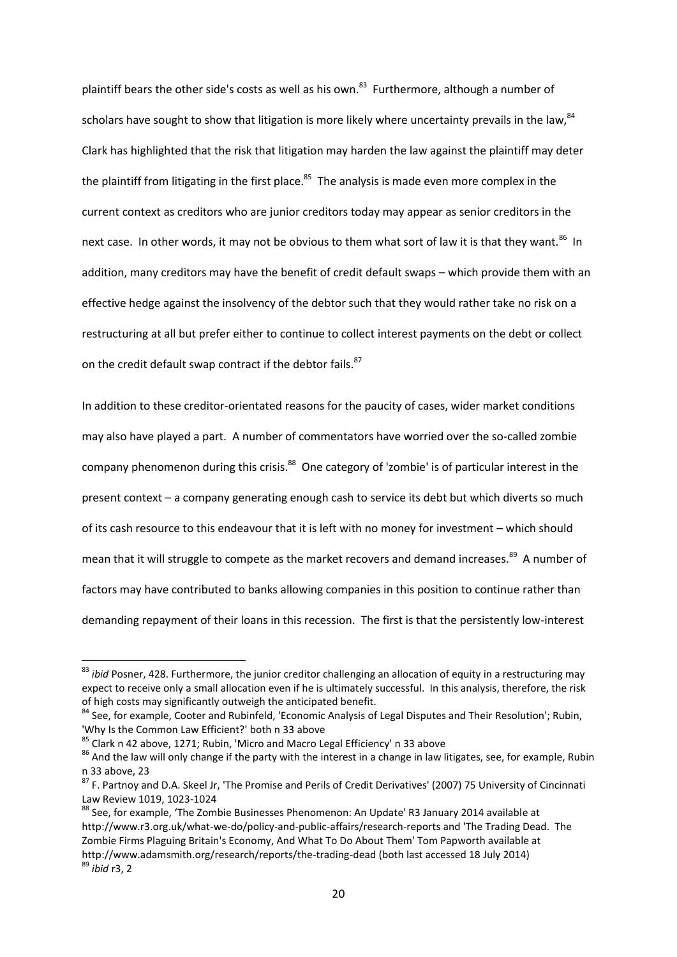plaintiff bears the other side's costs as well as his own.<sup>83</sup> Furthermore, although a number of scholars have sought to show that litigation is more likely where uncertainty prevails in the law, <sup>84</sup> Clark has highlighted that the risk that litigation may harden the law against the plaintiff may deter the plaintiff from litigating in the first place.<sup>85</sup> The analysis is made even more complex in the current context as creditors who are junior creditors today may appear as senior creditors in the next case. In other words, it may not be obvious to them what sort of law it is that they want.<sup>86</sup> In addition, many creditors may have the benefit of credit default swaps – which provide them with an effective hedge against the insolvency of the debtor such that they would rather take no risk on a restructuring at all but prefer either to continue to collect interest payments on the debt or collect on the credit default swap contract if the debtor fails.<sup>87</sup>

In addition to these creditor-orientated reasons for the paucity of cases, wider market conditions may also have played a part. A number of commentators have worried over the so-called zombie company phenomenon during this crisis.<sup>88</sup> One category of 'zombie' is of particular interest in the present context – a company generating enough cash to service its debt but which diverts so much of its cash resource to this endeavour that it is left with no money for investment – which should mean that it will struggle to compete as the market recovers and demand increases.<sup>89</sup> A number of factors may have contributed to banks allowing companies in this position to continue rather than demanding repayment of their loans in this recession. The first is that the persistently low-interest

<sup>&</sup>lt;sup>83</sup> *ibid* Posner, 428. Furthermore, the junior creditor challenging an allocation of equity in a restructuring may expect to receive only a small allocation even if he is ultimately successful. In this analysis, therefore, the risk of high costs may significantly outweigh the anticipated benefit.

<sup>&</sup>lt;sup>84</sup> See, for example, Cooter and Rubinfeld, 'Economic Analysis of Legal Disputes and Their Resolution'; Rubin, 'Why Is the Common Law Efficient?' both n 33 above

<sup>&</sup>lt;sup>85</sup> Clark n 42 above, 1271; Rubin, 'Micro and Macro Legal Efficiency' n 33 above

<sup>86</sup> And the law will only change if the party with the interest in a change in law litigates, see, for example, Rubin n 33 above, 23

<sup>&</sup>lt;sup>87</sup> F. Partnoy and D.A. Skeel Jr, 'The Promise and Perils of Credit Derivatives' (2007) 75 University of Cincinnati Law Review 1019, 1023-1024

<sup>88</sup> See, for example, 'The Zombie Businesses Phenomenon: An Update' R3 January 2014 available at http://www.r3.org.uk/what-we-do/policy-and-public-affairs/research-reports and 'The Trading Dead. The Zombie Firms Plaguing Britain's Economy, And What To Do About Them' Tom Papworth available at http://www.adamsmith.org/research/reports/the-trading-dead (both last accessed 18 July 2014) <sup>89</sup> *ibid* r3, 2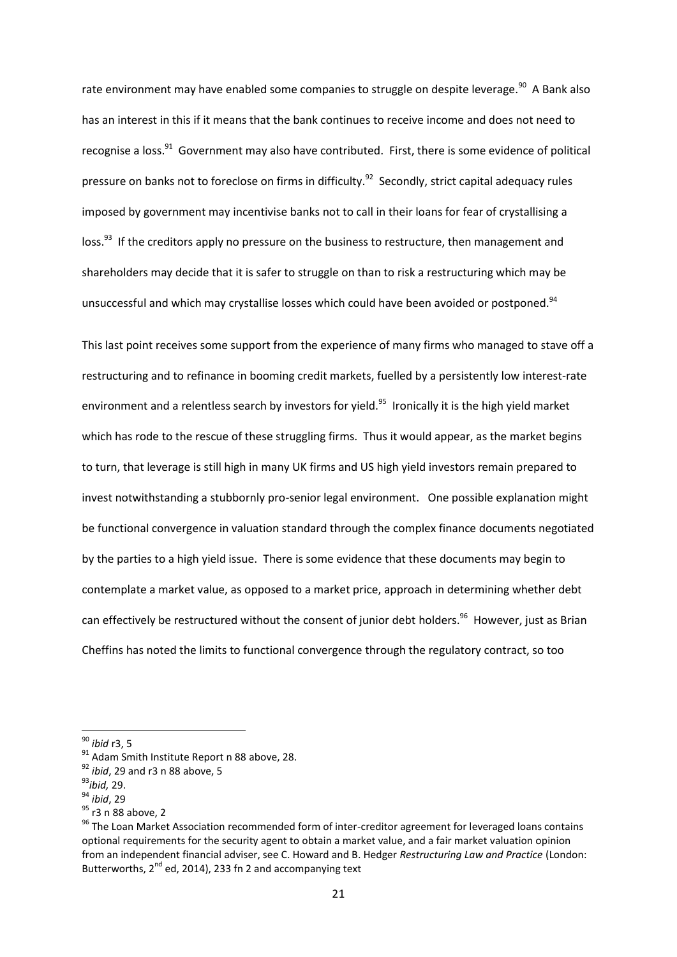rate environment may have enabled some companies to struggle on despite leverage.<sup>90</sup> A Bank also has an interest in this if it means that the bank continues to receive income and does not need to recognise a loss.<sup>91</sup> Government may also have contributed. First, there is some evidence of political pressure on banks not to foreclose on firms in difficulty.<sup>92</sup> Secondly, strict capital adequacy rules imposed by government may incentivise banks not to call in their loans for fear of crystallising a loss.<sup>93</sup> If the creditors apply no pressure on the business to restructure, then management and shareholders may decide that it is safer to struggle on than to risk a restructuring which may be unsuccessful and which may crystallise losses which could have been avoided or postponed.<sup>94</sup>

This last point receives some support from the experience of many firms who managed to stave off a restructuring and to refinance in booming credit markets, fuelled by a persistently low interest-rate environment and a relentless search by investors for yield.<sup>95</sup> Ironically it is the high yield market which has rode to the rescue of these struggling firms. Thus it would appear, as the market begins to turn, that leverage is still high in many UK firms and US high yield investors remain prepared to invest notwithstanding a stubbornly pro-senior legal environment. One possible explanation might be functional convergence in valuation standard through the complex finance documents negotiated by the parties to a high yield issue. There is some evidence that these documents may begin to contemplate a market value, as opposed to a market price, approach in determining whether debt can effectively be restructured without the consent of junior debt holders.<sup>96</sup> However, just as Brian Cheffins has noted the limits to functional convergence through the regulatory contract, so too

<sup>90</sup> *ibid* r3, 5

<sup>&</sup>lt;sup>91</sup> Adam Smith Institute Report n 88 above, 28.

<sup>92</sup> *ibid*, 29 and r3 n 88 above, 5

<sup>93</sup>*ibid,* 29.

<sup>94</sup> *ibid*, 29

<sup>&</sup>lt;sup>95</sup> r3 n 88 above, 2

<sup>&</sup>lt;sup>96</sup> The Loan Market Association recommended form of inter-creditor agreement for leveraged loans contains optional requirements for the security agent to obtain a market value, and a fair market valuation opinion from an independent financial adviser, see C. Howard and B. Hedger *Restructuring Law and Practice* (London: Butterworths,  $2^{nd}$  ed, 2014), 233 fn 2 and accompanying text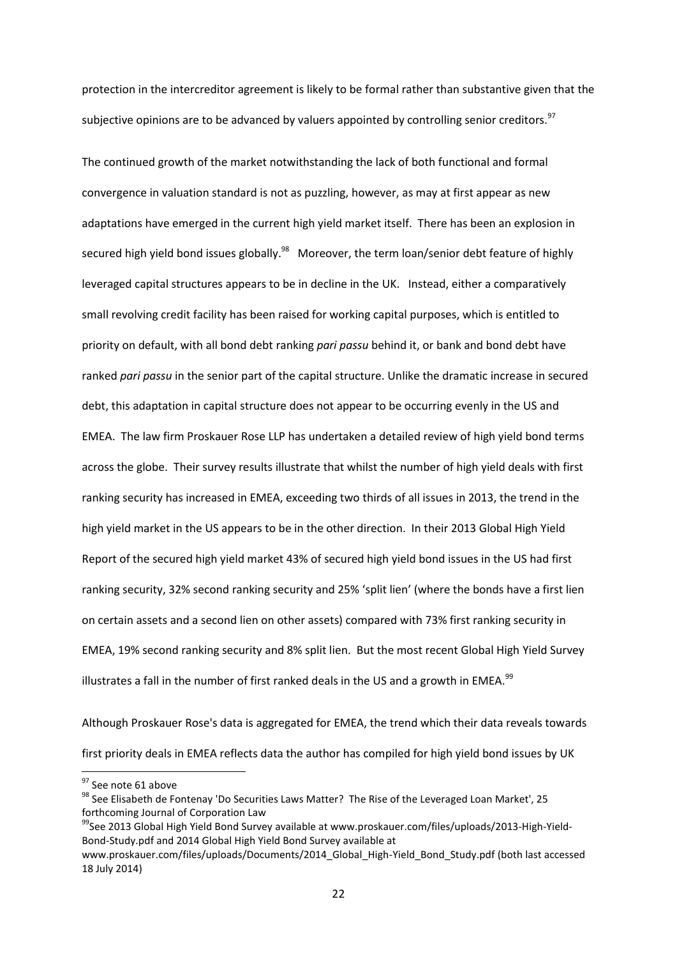protection in the intercreditor agreement is likely to be formal rather than substantive given that the subjective opinions are to be advanced by valuers appointed by controlling senior creditors.<sup>97</sup>

The continued growth of the market notwithstanding the lack of both functional and formal convergence in valuation standard is not as puzzling, however, as may at first appear as new adaptations have emerged in the current high yield market itself. There has been an explosion in secured high yield bond issues globally.<sup>98</sup> Moreover, the term loan/senior debt feature of highly leveraged capital structures appears to be in decline in the UK. Instead, either a comparatively small revolving credit facility has been raised for working capital purposes, which is entitled to priority on default, with all bond debt ranking *pari passu* behind it, or bank and bond debt have ranked *pari passu* in the senior part of the capital structure. Unlike the dramatic increase in secured debt, this adaptation in capital structure does not appear to be occurring evenly in the US and EMEA. The law firm Proskauer Rose LLP has undertaken a detailed review of high yield bond terms across the globe. Their survey results illustrate that whilst the number of high yield deals with first ranking security has increased in EMEA, exceeding two thirds of all issues in 2013, the trend in the high yield market in the US appears to be in the other direction. In their 2013 Global High Yield Report of the secured high yield market 43% of secured high yield bond issues in the US had first ranking security, 32% second ranking security and 25% 'split lien' (where the bonds have a first lien on certain assets and a second lien on other assets) compared with 73% first ranking security in EMEA, 19% second ranking security and 8% split lien. But the most recent Global High Yield Survey illustrates a fall in the number of first ranked deals in the US and a growth in EMEA.<sup>99</sup>

Although Proskauer Rose's data is aggregated for EMEA, the trend which their data reveals towards first priority deals in EMEA reflects data the author has compiled for high yield bond issues by UK

<sup>&</sup>lt;sup>97</sup> See note 61 above

<sup>98</sup> See Elisabeth de Fontenay 'Do Securities Laws Matter? The Rise of the Leveraged Loan Market', 25 forthcoming Journal of Corporation Law

<sup>99</sup>See 2013 Global High Yield Bond Survey available at www.proskauer.com/files/uploads/2013-High-Yield-Bond-Study.pdf and 2014 Global High Yield Bond Survey available at

www.proskauer.com/files/uploads/Documents/2014\_Global\_High-Yield\_Bond\_Study.pdf (both last accessed 18 July 2014)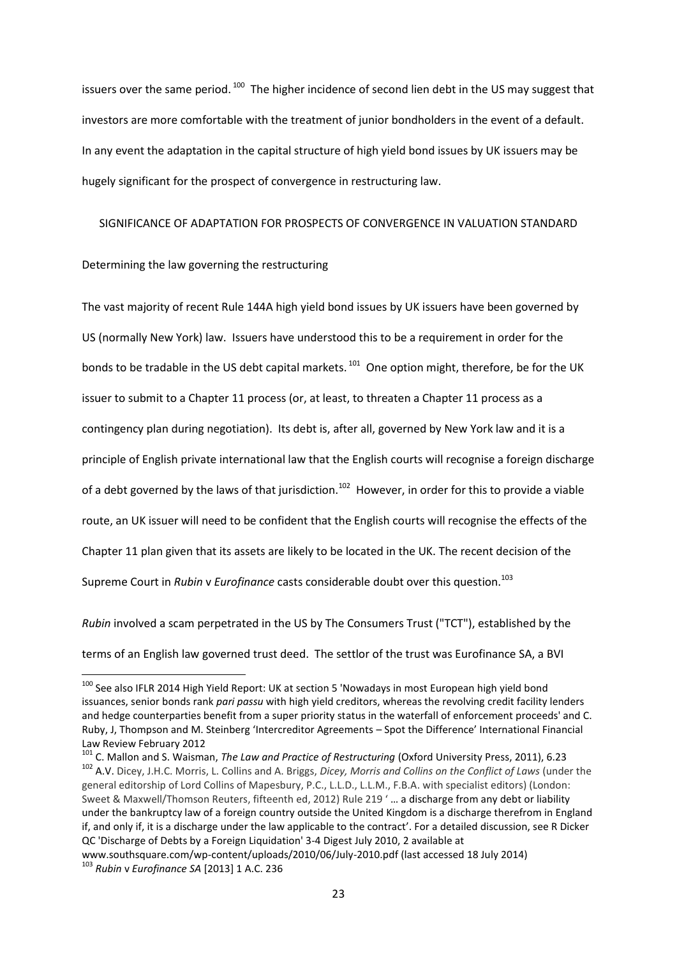issuers over the same period.<sup>100</sup> The higher incidence of second lien debt in the US may suggest that investors are more comfortable with the treatment of junior bondholders in the event of a default. In any event the adaptation in the capital structure of high yield bond issues by UK issuers may be hugely significant for the prospect of convergence in restructuring law.

#### SIGNIFICANCE OF ADAPTATION FOR PROSPECTS OF CONVERGENCE IN VALUATION STANDARD

#### Determining the law governing the restructuring

 $\overline{\phantom{a}}$ 

The vast majority of recent Rule 144A high yield bond issues by UK issuers have been governed by US (normally New York) law. Issuers have understood this to be a requirement in order for the bonds to be tradable in the US debt capital markets.<sup>101</sup> One option might, therefore, be for the UK issuer to submit to a Chapter 11 process (or, at least, to threaten a Chapter 11 process as a contingency plan during negotiation). Its debt is, after all, governed by New York law and it is a principle of English private international law that the English courts will recognise a foreign discharge of a debt governed by the laws of that jurisdiction.<sup>102</sup> However, in order for this to provide a viable route, an UK issuer will need to be confident that the English courts will recognise the effects of the Chapter 11 plan given that its assets are likely to be located in the UK. The recent decision of the Supreme Court in *Rubin* v *Eurofinance* casts considerable doubt over this question.<sup>103</sup>

*Rubin* involved a scam perpetrated in the US by The Consumers Trust ("TCT"), established by the terms of an English law governed trust deed. The settlor of the trust was Eurofinance SA, a BVI

<sup>&</sup>lt;sup>100</sup> See also IFLR 2014 High Yield Report: UK at section 5 'Nowadays in most European high yield bond issuances, senior bonds rank *pari passu* with high yield creditors, whereas the revolving credit facility lenders and hedge counterparties benefit from a super priority status in the waterfall of enforcement proceeds' and C. Ruby, J, Thompson and M. Steinberg 'Intercreditor Agreements – Spot the Difference' International Financial Law Review February 2012

<sup>101</sup> C. Mallon and S. Waisman, *The Law and Practice of Restructuring* (Oxford University Press, 2011), 6.23 <sup>102</sup> A.V. Dicey, J.H.C. Morris, L. Collins and A. Briggs, *Dicey, Morris and Collins on the Conflict of Laws* (under the general editorship of Lord Collins of Mapesbury, P.C., L.L.D., L.L.M., F.B.A. with specialist editors) (London: Sweet & Maxwell/Thomson Reuters, fifteenth ed, 2012) Rule 219 ' … a discharge from any debt or liability under the bankruptcy law of a foreign country outside the United Kingdom is a discharge therefrom in England if, and only if, it is a discharge under the law applicable to the contract'. For a detailed discussion, see R Dicker QC 'Discharge of Debts by a Foreign Liquidation' 3-4 Digest July 2010, 2 available at

www.southsquare.com/wp-content/uploads/2010/06/July-2010.pdf (last accessed 18 July 2014) <sup>103</sup> *Rubin* v *Eurofinance SA* [2013] 1 A.C. 236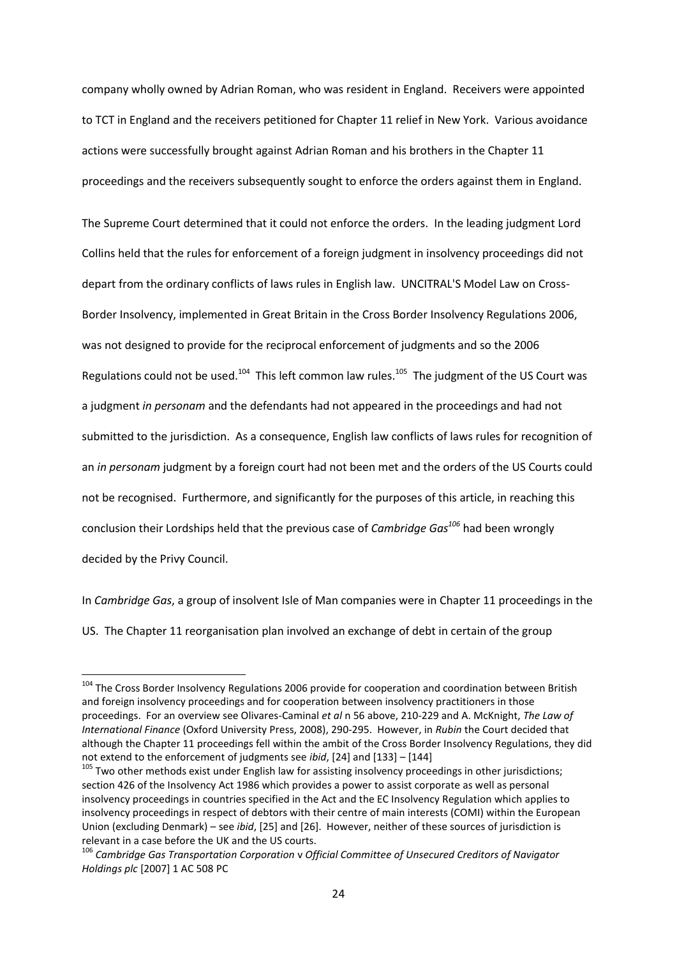company wholly owned by Adrian Roman, who was resident in England. Receivers were appointed to TCT in England and the receivers petitioned for Chapter 11 relief in New York. Various avoidance actions were successfully brought against Adrian Roman and his brothers in the Chapter 11 proceedings and the receivers subsequently sought to enforce the orders against them in England.

The Supreme Court determined that it could not enforce the orders. In the leading judgment Lord Collins held that the rules for enforcement of a foreign judgment in insolvency proceedings did not depart from the ordinary conflicts of laws rules in English law. UNCITRAL'S Model Law on Cross-Border Insolvency, implemented in Great Britain in the Cross Border Insolvency Regulations 2006, was not designed to provide for the reciprocal enforcement of judgments and so the 2006 Regulations could not be used.<sup>104</sup> This left common law rules.<sup>105</sup> The judgment of the US Court was a judgment *in personam* and the defendants had not appeared in the proceedings and had not submitted to the jurisdiction. As a consequence, English law conflicts of laws rules for recognition of an *in personam* judgment by a foreign court had not been met and the orders of the US Courts could not be recognised. Furthermore, and significantly for the purposes of this article, in reaching this conclusion their Lordships held that the previous case of *Cambridge Gas<sup>106</sup>* had been wrongly decided by the Privy Council.

In *Cambridge Gas*, a group of insolvent Isle of Man companies were in Chapter 11 proceedings in the US. The Chapter 11 reorganisation plan involved an exchange of debt in certain of the group

<sup>&</sup>lt;sup>104</sup> The Cross Border Insolvency Regulations 2006 provide for cooperation and coordination between British and foreign insolvency proceedings and for cooperation between insolvency practitioners in those proceedings. For an overview see Olivares-Caminal *et al* n 56 above, 210-229 and A. McKnight, *The Law of International Finance* (Oxford University Press, 2008), 290-295. However, in *Rubin* the Court decided that although the Chapter 11 proceedings fell within the ambit of the Cross Border Insolvency Regulations, they did not extend to the enforcement of judgments see *ibid*, [24] and [133] – [144]

<sup>&</sup>lt;sup>105</sup> Two other methods exist under English law for assisting insolvency proceedings in other jurisdictions; section 426 of the Insolvency Act 1986 which provides a power to assist corporate as well as personal insolvency proceedings in countries specified in the Act and the EC Insolvency Regulation which applies to insolvency proceedings in respect of debtors with their centre of main interests (COMI) within the European Union (excluding Denmark) – see *ibid*, [25] and [26]. However, neither of these sources of jurisdiction is relevant in a case before the UK and the US courts.

<sup>106</sup> *Cambridge Gas Transportation Corporation* v *Official Committee of Unsecured Creditors of Navigator Holdings plc* [2007] 1 AC 508 PC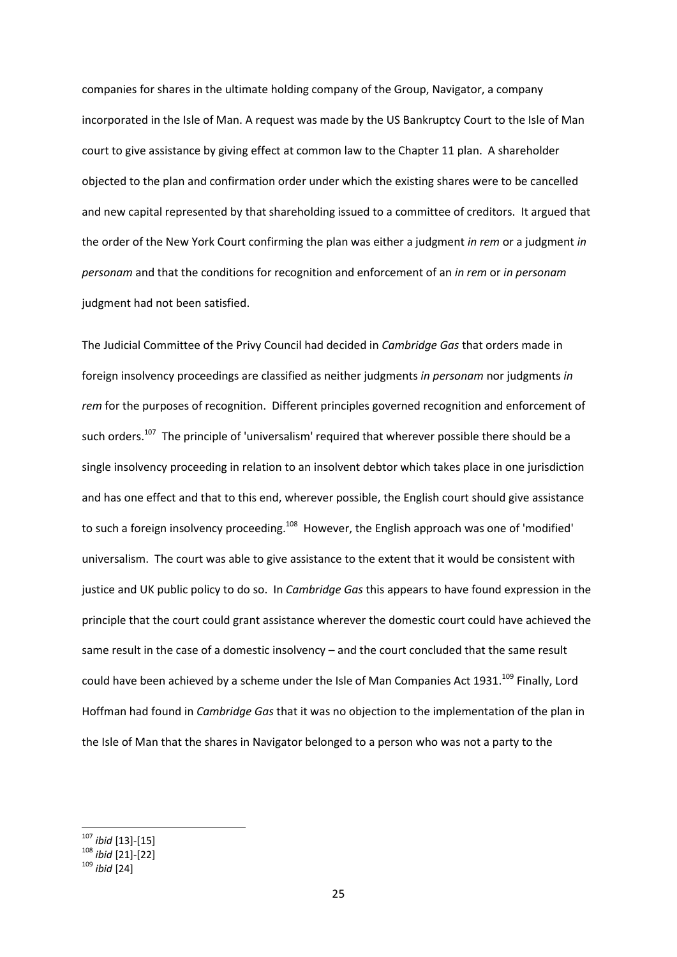companies for shares in the ultimate holding company of the Group, Navigator, a company incorporated in the Isle of Man. A request was made by the US Bankruptcy Court to the Isle of Man court to give assistance by giving effect at common law to the Chapter 11 plan. A shareholder objected to the plan and confirmation order under which the existing shares were to be cancelled and new capital represented by that shareholding issued to a committee of creditors. It argued that the order of the New York Court confirming the plan was either a judgment *in rem* or a judgment *in personam* and that the conditions for recognition and enforcement of an *in rem* or *in personam* judgment had not been satisfied.

The Judicial Committee of the Privy Council had decided in *Cambridge Gas* that orders made in foreign insolvency proceedings are classified as neither judgments *in personam* nor judgments *in rem* for the purposes of recognition. Different principles governed recognition and enforcement of such orders.<sup>107</sup> The principle of 'universalism' required that wherever possible there should be a single insolvency proceeding in relation to an insolvent debtor which takes place in one jurisdiction and has one effect and that to this end, wherever possible, the English court should give assistance to such a foreign insolvency proceeding.<sup>108</sup> However, the English approach was one of 'modified' universalism. The court was able to give assistance to the extent that it would be consistent with justice and UK public policy to do so. In *Cambridge Gas* this appears to have found expression in the principle that the court could grant assistance wherever the domestic court could have achieved the same result in the case of a domestic insolvency – and the court concluded that the same result could have been achieved by a scheme under the Isle of Man Companies Act 1931.<sup>109</sup> Finally, Lord Hoffman had found in *Cambridge Gas* that it was no objection to the implementation of the plan in the Isle of Man that the shares in Navigator belonged to a person who was not a party to the

<sup>107</sup> *ibid* [13]-[15]

<sup>108</sup> *ibid* [21]-[22]

<sup>109</sup> *ibid* [24]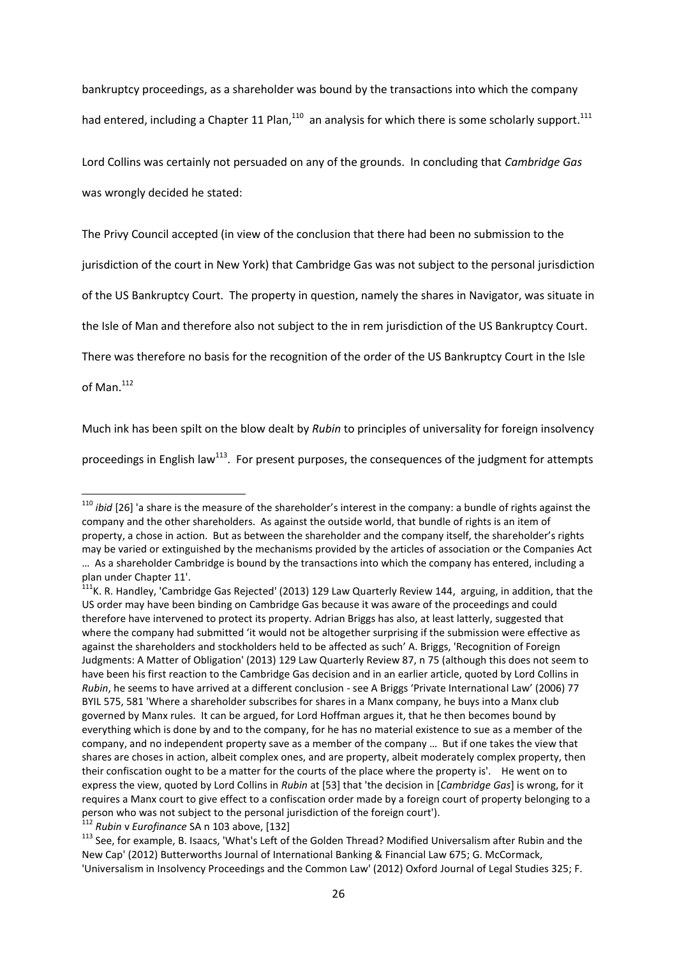bankruptcy proceedings, as a shareholder was bound by the transactions into which the company had entered, including a Chapter 11 Plan, $^{110}$  an analysis for which there is some scholarly support.<sup>111</sup>

Lord Collins was certainly not persuaded on any of the grounds. In concluding that *Cambridge Gas* was wrongly decided he stated:

The Privy Council accepted (in view of the conclusion that there had been no submission to the

jurisdiction of the court in New York) that Cambridge Gas was not subject to the personal jurisdiction

of the US Bankruptcy Court. The property in question, namely the shares in Navigator, was situate in

the Isle of Man and therefore also not subject to the in rem jurisdiction of the US Bankruptcy Court.

There was therefore no basis for the recognition of the order of the US Bankruptcy Court in the Isle

of Man.<sup>112</sup>

**.** 

Much ink has been spilt on the blow dealt by *Rubin* to principles of universality for foreign insolvency

proceedings in English law<sup>113</sup>. For present purposes, the consequences of the judgment for attempts

<sup>112</sup> *Rubin* v *Eurofinance* SA n 103 above, [132]

<sup>110</sup> *ibid* [26] 'a share is the measure of the shareholder's interest in the company: a bundle of rights against the company and the other shareholders. As against the outside world, that bundle of rights is an item of property, a chose in action. But as between the shareholder and the company itself, the shareholder's rights may be varied or extinguished by the mechanisms provided by the articles of association or the Companies Act … As a shareholder Cambridge is bound by the transactions into which the company has entered, including a plan under Chapter 11'.

 $111$ K. R. Handley, 'Cambridge Gas Rejected' (2013) 129 Law Quarterly Review 144, arguing, in addition, that the US order may have been binding on Cambridge Gas because it was aware of the proceedings and could therefore have intervened to protect its property. Adrian Briggs has also, at least latterly, suggested that where the company had submitted 'it would not be altogether surprising if the submission were effective as against the shareholders and stockholders held to be affected as such' A. Briggs, 'Recognition of Foreign Judgments: A Matter of Obligation' (2013) 129 Law Quarterly Review 87, n 75 (although this does not seem to have been his first reaction to the Cambridge Gas decision and in an earlier article, quoted by Lord Collins in *Rubin*, he seems to have arrived at a different conclusion - see A Briggs 'Private International Law' (2006) 77 BYIL 575, 581 'Where a shareholder subscribes for shares in a Manx company, he buys into a Manx club governed by Manx rules. It can be argued, for Lord Hoffman argues it, that he then becomes bound by everything which is done by and to the company, for he has no material existence to sue as a member of the company, and no independent property save as a member of the company … But if one takes the view that shares are choses in action, albeit complex ones, and are property, albeit moderately complex property, then their confiscation ought to be a matter for the courts of the place where the property is'. He went on to express the view, quoted by Lord Collins in *Rubin* at [53] that 'the decision in [*Cambridge Gas*] is wrong, for it requires a Manx court to give effect to a confiscation order made by a foreign court of property belonging to a person who was not subject to the personal jurisdiction of the foreign court').

<sup>&</sup>lt;sup>113</sup> See, for example, B. Isaacs, 'What's Left of the Golden Thread? Modified Universalism after Rubin and the New Cap' (2012) Butterworths Journal of International Banking & Financial Law 675; G. McCormack, 'Universalism in Insolvency Proceedings and the Common Law' (2012) Oxford Journal of Legal Studies 325; F.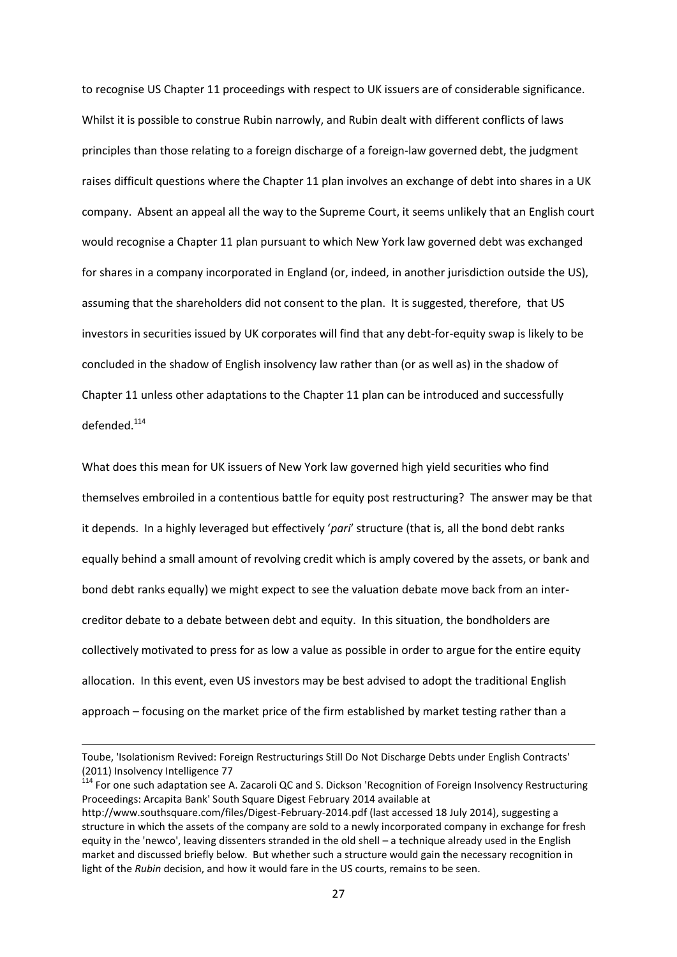to recognise US Chapter 11 proceedings with respect to UK issuers are of considerable significance. Whilst it is possible to construe Rubin narrowly, and Rubin dealt with different conflicts of laws principles than those relating to a foreign discharge of a foreign-law governed debt, the judgment raises difficult questions where the Chapter 11 plan involves an exchange of debt into shares in a UK company. Absent an appeal all the way to the Supreme Court, it seems unlikely that an English court would recognise a Chapter 11 plan pursuant to which New York law governed debt was exchanged for shares in a company incorporated in England (or, indeed, in another jurisdiction outside the US), assuming that the shareholders did not consent to the plan. It is suggested, therefore, that US investors in securities issued by UK corporates will find that any debt-for-equity swap is likely to be concluded in the shadow of English insolvency law rather than (or as well as) in the shadow of Chapter 11 unless other adaptations to the Chapter 11 plan can be introduced and successfully defended.<sup>114</sup>

What does this mean for UK issuers of New York law governed high yield securities who find themselves embroiled in a contentious battle for equity post restructuring? The answer may be that it depends. In a highly leveraged but effectively '*pari*' structure (that is, all the bond debt ranks equally behind a small amount of revolving credit which is amply covered by the assets, or bank and bond debt ranks equally) we might expect to see the valuation debate move back from an intercreditor debate to a debate between debt and equity. In this situation, the bondholders are collectively motivated to press for as low a value as possible in order to argue for the entire equity allocation. In this event, even US investors may be best advised to adopt the traditional English approach – focusing on the market price of the firm established by market testing rather than a

1

<sup>114</sup> For one such adaptation see A. Zacaroli QC and S. Dickson 'Recognition of Foreign Insolvency Restructuring Proceedings: Arcapita Bank' South Square Digest February 2014 available at http://www.southsquare.com/files/Digest-February-2014.pdf (last accessed 18 July 2014), suggesting a structure in which the assets of the company are sold to a newly incorporated company in exchange for fresh equity in the 'newco', leaving dissenters stranded in the old shell – a technique already used in the English market and discussed briefly below. But whether such a structure would gain the necessary recognition in light of the *Rubin* decision, and how it would fare in the US courts, remains to be seen.

Toube, 'Isolationism Revived: Foreign Restructurings Still Do Not Discharge Debts under English Contracts' (2011) Insolvency Intelligence 77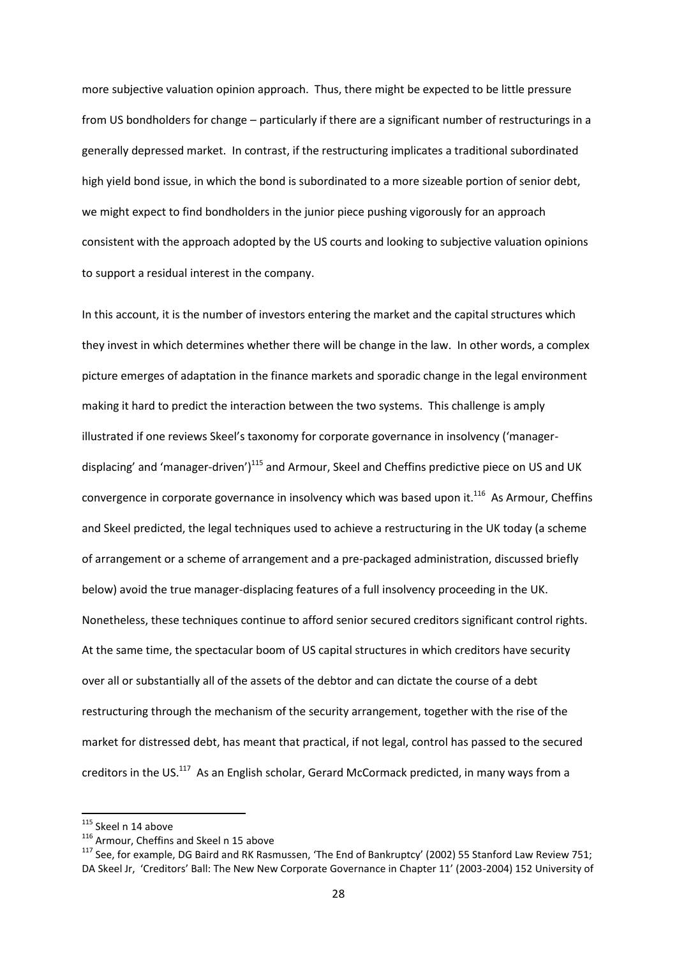more subjective valuation opinion approach. Thus, there might be expected to be little pressure from US bondholders for change – particularly if there are a significant number of restructurings in a generally depressed market. In contrast, if the restructuring implicates a traditional subordinated high yield bond issue, in which the bond is subordinated to a more sizeable portion of senior debt, we might expect to find bondholders in the junior piece pushing vigorously for an approach consistent with the approach adopted by the US courts and looking to subjective valuation opinions to support a residual interest in the company.

In this account, it is the number of investors entering the market and the capital structures which they invest in which determines whether there will be change in the law. In other words, a complex picture emerges of adaptation in the finance markets and sporadic change in the legal environment making it hard to predict the interaction between the two systems. This challenge is amply illustrated if one reviews Skeel's taxonomy for corporate governance in insolvency ('managerdisplacing' and 'manager-driven')<sup>115</sup> and Armour, Skeel and Cheffins predictive piece on US and UK convergence in corporate governance in insolvency which was based upon it.<sup>116</sup> As Armour, Cheffins and Skeel predicted, the legal techniques used to achieve a restructuring in the UK today (a scheme of arrangement or a scheme of arrangement and a pre-packaged administration, discussed briefly below) avoid the true manager-displacing features of a full insolvency proceeding in the UK. Nonetheless, these techniques continue to afford senior secured creditors significant control rights. At the same time, the spectacular boom of US capital structures in which creditors have security over all or substantially all of the assets of the debtor and can dictate the course of a debt restructuring through the mechanism of the security arrangement, together with the rise of the market for distressed debt, has meant that practical, if not legal, control has passed to the secured creditors in the US.<sup>117</sup> As an English scholar, Gerard McCormack predicted, in many ways from a

 $115$  Skeel n 14 above

<sup>116</sup> Armour, Cheffins and Skeel n 15 above

<sup>&</sup>lt;sup>117</sup> See, for example, DG Baird and RK Rasmussen, 'The End of Bankruptcy' (2002) 55 Stanford Law Review 751; DA Skeel Jr, 'Creditors' Ball: The New New Corporate Governance in Chapter 11' (2003-2004) 152 University of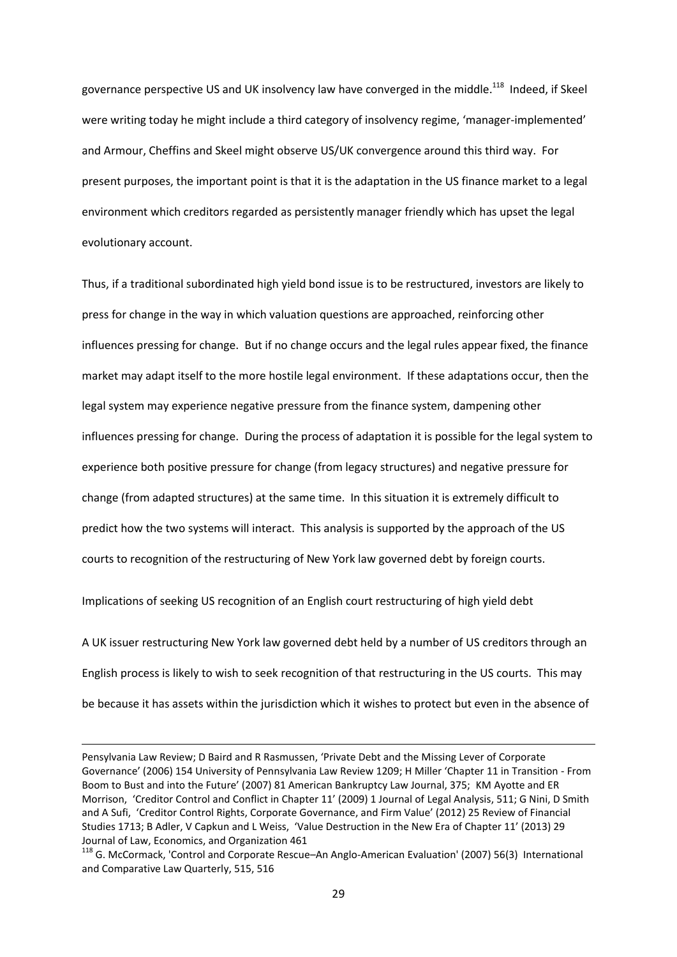governance perspective US and UK insolvency law have converged in the middle.<sup>118</sup> Indeed, if Skeel were writing today he might include a third category of insolvency regime, 'manager-implemented' and Armour, Cheffins and Skeel might observe US/UK convergence around this third way. For present purposes, the important point is that it is the adaptation in the US finance market to a legal environment which creditors regarded as persistently manager friendly which has upset the legal evolutionary account.

Thus, if a traditional subordinated high yield bond issue is to be restructured, investors are likely to press for change in the way in which valuation questions are approached, reinforcing other influences pressing for change. But if no change occurs and the legal rules appear fixed, the finance market may adapt itself to the more hostile legal environment. If these adaptations occur, then the legal system may experience negative pressure from the finance system, dampening other influences pressing for change. During the process of adaptation it is possible for the legal system to experience both positive pressure for change (from legacy structures) and negative pressure for change (from adapted structures) at the same time. In this situation it is extremely difficult to predict how the two systems will interact. This analysis is supported by the approach of the US courts to recognition of the restructuring of New York law governed debt by foreign courts.

Implications of seeking US recognition of an English court restructuring of high yield debt

1

A UK issuer restructuring New York law governed debt held by a number of US creditors through an English process is likely to wish to seek recognition of that restructuring in the US courts. This may be because it has assets within the jurisdiction which it wishes to protect but even in the absence of

Pensylvania Law Review; D Baird and R Rasmussen, 'Private Debt and the Missing Lever of Corporate Governance' (2006) 154 University of Pennsylvania Law Review 1209; H Miller 'Chapter 11 in Transition - From Boom to Bust and into the Future' (2007) 81 American Bankruptcy Law Journal, 375; KM Ayotte and ER Morrison, 'Creditor Control and Conflict in Chapter 11' (2009) 1 Journal of Legal Analysis, 511; G Nini, D Smith and A Sufi, 'Creditor Control Rights, Corporate Governance, and Firm Value' (2012) 25 Review of Financial Studies 1713; B Adler, V Capkun and L Weiss, 'Value Destruction in the New Era of Chapter 11' (2013) 29 Journal of Law, Economics, and Organization 461

<sup>118</sup> G. McCormack, 'Control and Corporate Rescue–An Anglo-American Evaluation' (2007) 56(3) International and Comparative Law Quarterly, 515, 516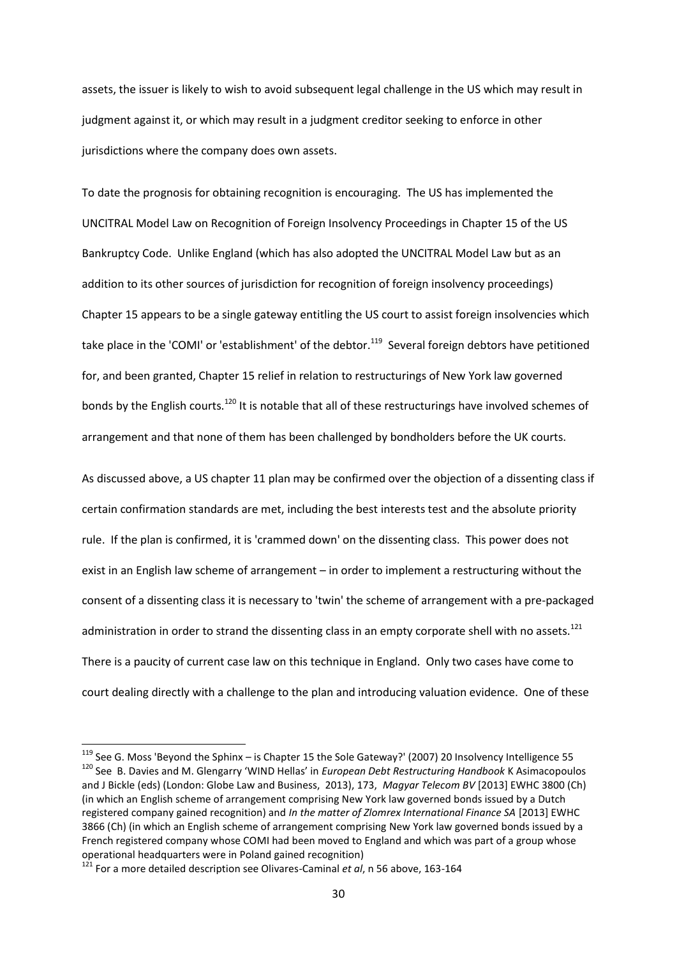assets, the issuer is likely to wish to avoid subsequent legal challenge in the US which may result in judgment against it, or which may result in a judgment creditor seeking to enforce in other jurisdictions where the company does own assets.

To date the prognosis for obtaining recognition is encouraging. The US has implemented the UNCITRAL Model Law on Recognition of Foreign Insolvency Proceedings in Chapter 15 of the US Bankruptcy Code. Unlike England (which has also adopted the UNCITRAL Model Law but as an addition to its other sources of jurisdiction for recognition of foreign insolvency proceedings) Chapter 15 appears to be a single gateway entitling the US court to assist foreign insolvencies which take place in the 'COMI' or 'establishment' of the debtor.<sup>119</sup> Several foreign debtors have petitioned for, and been granted, Chapter 15 relief in relation to restructurings of New York law governed bonds by the English courts.<sup>120</sup> It is notable that all of these restructurings have involved schemes of arrangement and that none of them has been challenged by bondholders before the UK courts.

As discussed above, a US chapter 11 plan may be confirmed over the objection of a dissenting class if certain confirmation standards are met, including the best interests test and the absolute priority rule. If the plan is confirmed, it is 'crammed down' on the dissenting class. This power does not exist in an English law scheme of arrangement – in order to implement a restructuring without the consent of a dissenting class it is necessary to 'twin' the scheme of arrangement with a pre-packaged administration in order to strand the dissenting class in an empty corporate shell with no assets.<sup>121</sup> There is a paucity of current case law on this technique in England. Only two cases have come to court dealing directly with a challenge to the plan and introducing valuation evidence. One of these

<sup>&</sup>lt;sup>119</sup> See G. Moss 'Beyond the Sphinx – is Chapter 15 the Sole Gateway?' (2007) 20 Insolvency Intelligence 55 <sup>120</sup> See B. Davies and M. Glengarry 'WIND Hellas' in *European Debt Restructuring Handbook* K Asimacopoulos and J Bickle (eds) (London: Globe Law and Business, 2013), 173, *Magyar Telecom BV* [2013] EWHC 3800 (Ch) (in which an English scheme of arrangement comprising New York law governed bonds issued by a Dutch registered company gained recognition) and *In the matter of Zlomrex International Finance SA* [2013] EWHC 3866 (Ch) (in which an English scheme of arrangement comprising New York law governed bonds issued by a French registered company whose COMI had been moved to England and which was part of a group whose operational headquarters were in Poland gained recognition)

<sup>121</sup> For a more detailed description see Olivares-Caminal *et al*, n 56 above, 163-164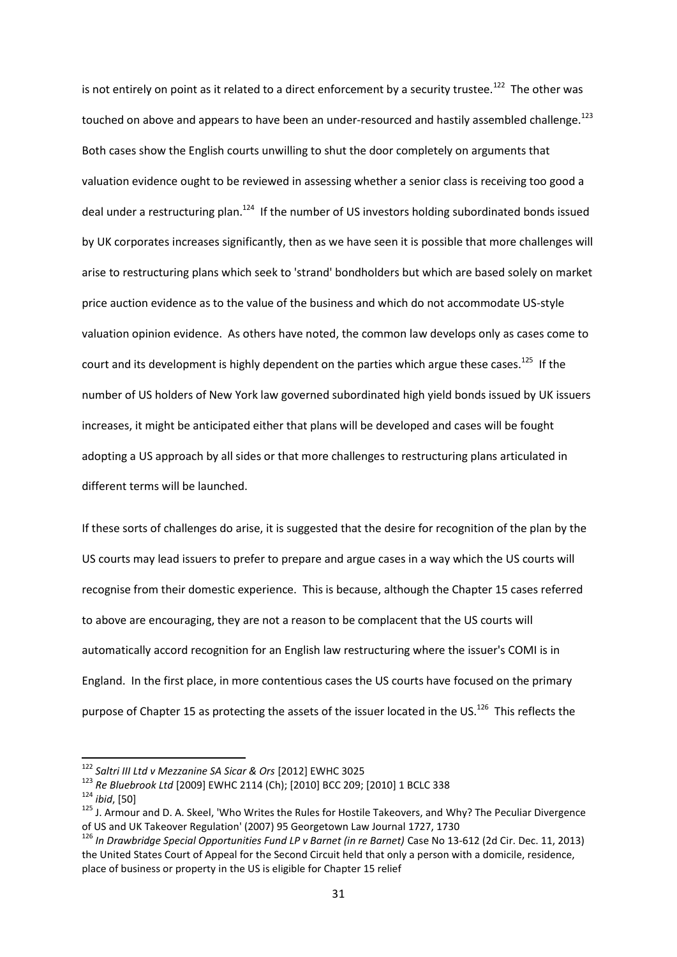is not entirely on point as it related to a direct enforcement by a security trustee.<sup>122</sup> The other was touched on above and appears to have been an under-resourced and hastily assembled challenge.<sup>123</sup> Both cases show the English courts unwilling to shut the door completely on arguments that valuation evidence ought to be reviewed in assessing whether a senior class is receiving too good a deal under a restructuring plan.<sup>124</sup> If the number of US investors holding subordinated bonds issued by UK corporates increases significantly, then as we have seen it is possible that more challenges will arise to restructuring plans which seek to 'strand' bondholders but which are based solely on market price auction evidence as to the value of the business and which do not accommodate US-style valuation opinion evidence. As others have noted, the common law develops only as cases come to court and its development is highly dependent on the parties which argue these cases.<sup>125</sup> If the number of US holders of New York law governed subordinated high yield bonds issued by UK issuers increases, it might be anticipated either that plans will be developed and cases will be fought adopting a US approach by all sides or that more challenges to restructuring plans articulated in different terms will be launched.

If these sorts of challenges do arise, it is suggested that the desire for recognition of the plan by the US courts may lead issuers to prefer to prepare and argue cases in a way which the US courts will recognise from their domestic experience. This is because, although the Chapter 15 cases referred to above are encouraging, they are not a reason to be complacent that the US courts will automatically accord recognition for an English law restructuring where the issuer's COMI is in England. In the first place, in more contentious cases the US courts have focused on the primary purpose of Chapter 15 as protecting the assets of the issuer located in the US.<sup>126</sup> This reflects the

<sup>122</sup> *Saltri III Ltd v Mezzanine SA Sicar & Ors* [2012] EWHC 3025

<sup>123</sup> *Re Bluebrook Ltd* [2009] EWHC 2114 (Ch); [2010] BCC 209; [2010] 1 BCLC 338

<sup>124</sup> *ibid*, [50]

<sup>&</sup>lt;sup>125</sup> J. Armour and D. A. Skeel, 'Who Writes the Rules for Hostile Takeovers, and Why? The Peculiar Divergence of US and UK Takeover Regulation' (2007) 95 Georgetown Law Journal 1727, 1730

<sup>126</sup> *In Drawbridge Special Opportunities Fund LP v Barnet (in re Barnet)* Case No 13-612 (2d Cir. Dec. 11, 2013) the United States Court of Appeal for the Second Circuit held that only a person with a domicile, residence, place of business or property in the US is eligible for Chapter 15 relief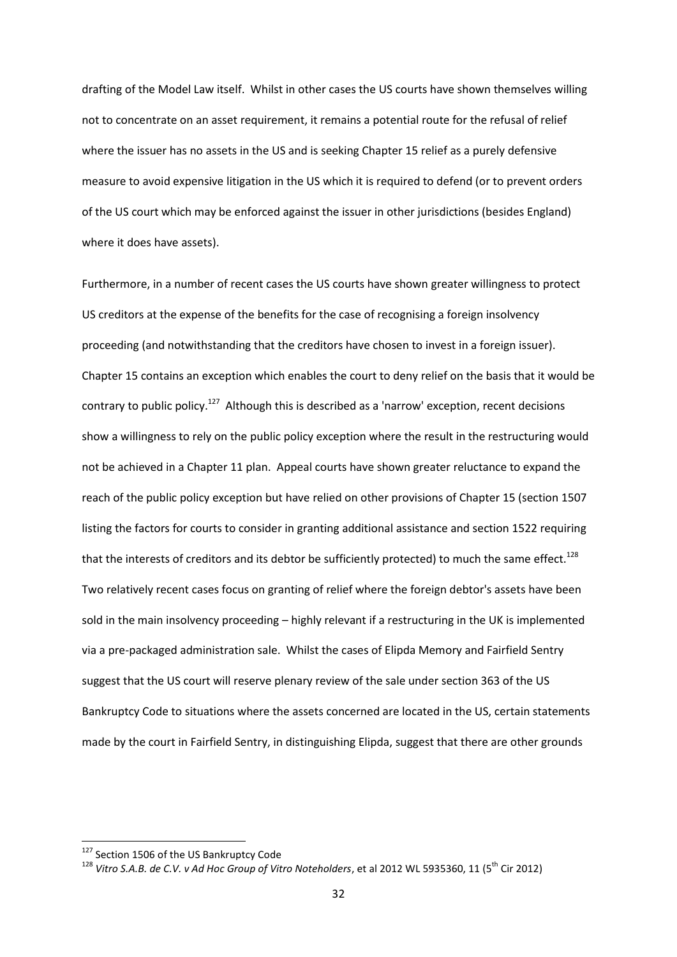drafting of the Model Law itself. Whilst in other cases the US courts have shown themselves willing not to concentrate on an asset requirement, it remains a potential route for the refusal of relief where the issuer has no assets in the US and is seeking Chapter 15 relief as a purely defensive measure to avoid expensive litigation in the US which it is required to defend (or to prevent orders of the US court which may be enforced against the issuer in other jurisdictions (besides England) where it does have assets).

Furthermore, in a number of recent cases the US courts have shown greater willingness to protect US creditors at the expense of the benefits for the case of recognising a foreign insolvency proceeding (and notwithstanding that the creditors have chosen to invest in a foreign issuer). Chapter 15 contains an exception which enables the court to deny relief on the basis that it would be contrary to public policy.<sup>127</sup> Although this is described as a 'narrow' exception, recent decisions show a willingness to rely on the public policy exception where the result in the restructuring would not be achieved in a Chapter 11 plan. Appeal courts have shown greater reluctance to expand the reach of the public policy exception but have relied on other provisions of Chapter 15 (section 1507 listing the factors for courts to consider in granting additional assistance and section 1522 requiring that the interests of creditors and its debtor be sufficiently protected) to much the same effect.<sup>128</sup> Two relatively recent cases focus on granting of relief where the foreign debtor's assets have been sold in the main insolvency proceeding – highly relevant if a restructuring in the UK is implemented via a pre-packaged administration sale. Whilst the cases of Elipda Memory and Fairfield Sentry suggest that the US court will reserve plenary review of the sale under section 363 of the US Bankruptcy Code to situations where the assets concerned are located in the US, certain statements made by the court in Fairfield Sentry, in distinguishing Elipda, suggest that there are other grounds

<sup>&</sup>lt;sup>127</sup> Section 1506 of the US Bankruptcy Code

<sup>&</sup>lt;sup>128</sup> Vitro S.A.B. de C.V. v Ad Hoc Group of Vitro Noteholders, et al 2012 WL 5935360, 11 (5<sup>th</sup> Cir 2012)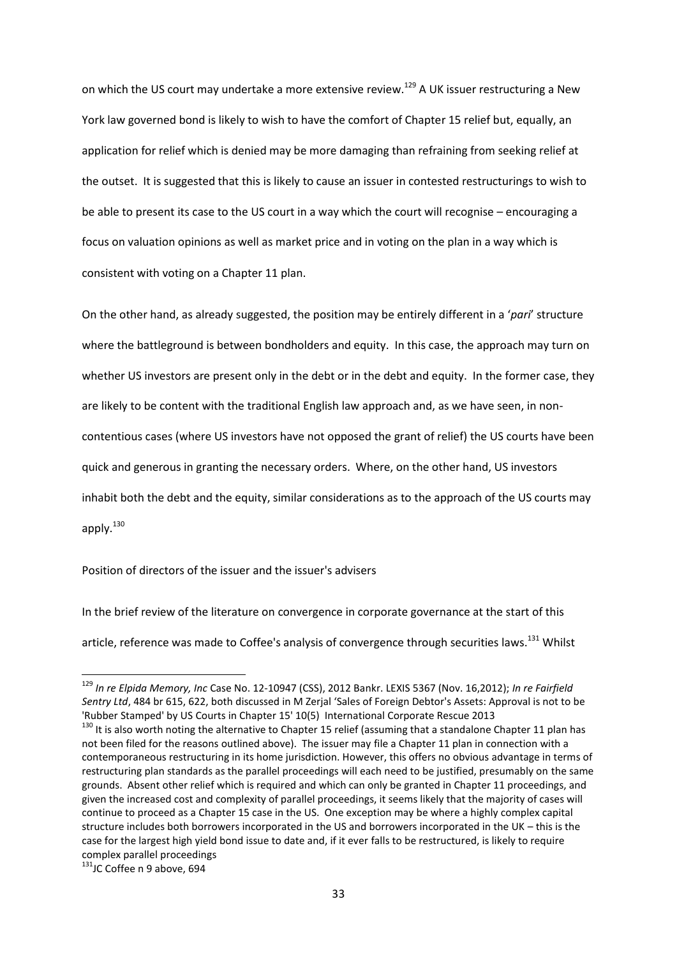on which the US court may undertake a more extensive review.<sup>129</sup> A UK issuer restructuring a New York law governed bond is likely to wish to have the comfort of Chapter 15 relief but, equally, an application for relief which is denied may be more damaging than refraining from seeking relief at the outset. It is suggested that this is likely to cause an issuer in contested restructurings to wish to be able to present its case to the US court in a way which the court will recognise – encouraging a focus on valuation opinions as well as market price and in voting on the plan in a way which is consistent with voting on a Chapter 11 plan.

On the other hand, as already suggested, the position may be entirely different in a '*pari*' structure where the battleground is between bondholders and equity. In this case, the approach may turn on whether US investors are present only in the debt or in the debt and equity. In the former case, they are likely to be content with the traditional English law approach and, as we have seen, in noncontentious cases (where US investors have not opposed the grant of relief) the US courts have been quick and generous in granting the necessary orders. Where, on the other hand, US investors inhabit both the debt and the equity, similar considerations as to the approach of the US courts may apply.<sup>130</sup>

Position of directors of the issuer and the issuer's advisers

In the brief review of the literature on convergence in corporate governance at the start of this article, reference was made to Coffee's analysis of convergence through securities laws.<sup>131</sup> Whilst

<sup>129</sup> *In re Elpida Memory, Inc* Case No. 12-10947 (CSS), 2012 Bankr. LEXIS 5367 (Nov. 16,2012); *In re Fairfield Sentry Ltd*, 484 br 615, 622, both discussed in M Zerjal 'Sales of Foreign Debtor's Assets: Approval is not to be 'Rubber Stamped' by US Courts in Chapter 15' 10(5) International Corporate Rescue 2013

<sup>&</sup>lt;sup>130</sup> It is also worth noting the alternative to Chapter 15 relief (assuming that a standalone Chapter 11 plan has not been filed for the reasons outlined above). The issuer may file a Chapter 11 plan in connection with a contemporaneous restructuring in its home jurisdiction. However, this offers no obvious advantage in terms of restructuring plan standards as the parallel proceedings will each need to be justified, presumably on the same grounds. Absent other relief which is required and which can only be granted in Chapter 11 proceedings, and given the increased cost and complexity of parallel proceedings, it seems likely that the majority of cases will continue to proceed as a Chapter 15 case in the US. One exception may be where a highly complex capital structure includes both borrowers incorporated in the US and borrowers incorporated in the UK – this is the case for the largest high yield bond issue to date and, if it ever falls to be restructured, is likely to require complex parallel proceedings

<sup>&</sup>lt;sup>131</sup>JC Coffee n 9 above, 694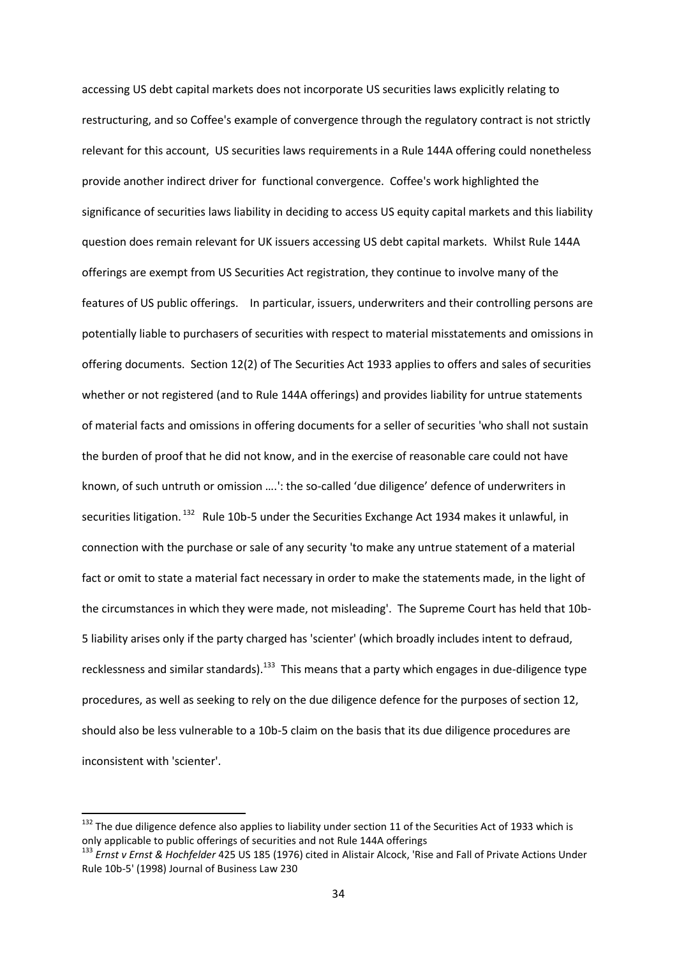accessing US debt capital markets does not incorporate US securities laws explicitly relating to restructuring, and so Coffee's example of convergence through the regulatory contract is not strictly relevant for this account, US securities laws requirements in a Rule 144A offering could nonetheless provide another indirect driver for functional convergence. Coffee's work highlighted the significance of securities laws liability in deciding to access US equity capital markets and this liability question does remain relevant for UK issuers accessing US debt capital markets. Whilst Rule 144A offerings are exempt from US Securities Act registration, they continue to involve many of the features of US public offerings. In particular, issuers, underwriters and their controlling persons are potentially liable to purchasers of securities with respect to material misstatements and omissions in offering documents. Section 12(2) of The Securities Act 1933 applies to offers and sales of securities whether or not registered (and to Rule 144A offerings) and provides liability for untrue statements of material facts and omissions in offering documents for a seller of securities 'who shall not sustain the burden of proof that he did not know, and in the exercise of reasonable care could not have known, of such untruth or omission ….': the so-called 'due diligence' defence of underwriters in securities litigation.<sup>132</sup> Rule 10b-5 under the Securities Exchange Act 1934 makes it unlawful, in connection with the purchase or sale of any security 'to make any untrue statement of a material fact or omit to state a material fact necessary in order to make the statements made, in the light of the circumstances in which they were made, not misleading'. The Supreme Court has held that 10b-5 liability arises only if the party charged has 'scienter' (which broadly includes intent to defraud, recklessness and similar standards).<sup>133</sup> This means that a party which engages in due-diligence type procedures, as well as seeking to rely on the due diligence defence for the purposes of section 12, should also be less vulnerable to a 10b-5 claim on the basis that its due diligence procedures are inconsistent with 'scienter'.

<sup>&</sup>lt;sup>132</sup> The due diligence defence also applies to liability under section 11 of the Securities Act of 1933 which is only applicable to public offerings of securities and not Rule 144A offerings

<sup>133</sup> *Ernst v Ernst & Hochfelder* 425 US 185 (1976) cited in Alistair Alcock, 'Rise and Fall of Private Actions Under Rule 10b-5' (1998) Journal of Business Law 230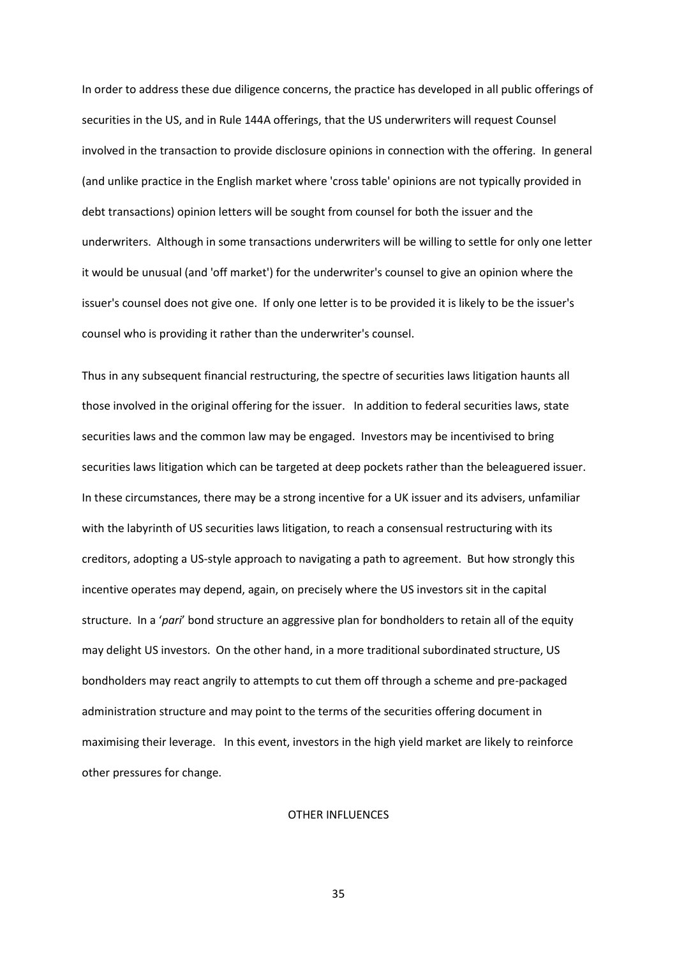In order to address these due diligence concerns, the practice has developed in all public offerings of securities in the US, and in Rule 144A offerings, that the US underwriters will request Counsel involved in the transaction to provide disclosure opinions in connection with the offering. In general (and unlike practice in the English market where 'cross table' opinions are not typically provided in debt transactions) opinion letters will be sought from counsel for both the issuer and the underwriters. Although in some transactions underwriters will be willing to settle for only one letter it would be unusual (and 'off market') for the underwriter's counsel to give an opinion where the issuer's counsel does not give one. If only one letter is to be provided it is likely to be the issuer's counsel who is providing it rather than the underwriter's counsel.

Thus in any subsequent financial restructuring, the spectre of securities laws litigation haunts all those involved in the original offering for the issuer. In addition to federal securities laws, state securities laws and the common law may be engaged. Investors may be incentivised to bring securities laws litigation which can be targeted at deep pockets rather than the beleaguered issuer. In these circumstances, there may be a strong incentive for a UK issuer and its advisers, unfamiliar with the labyrinth of US securities laws litigation, to reach a consensual restructuring with its creditors, adopting a US-style approach to navigating a path to agreement. But how strongly this incentive operates may depend, again, on precisely where the US investors sit in the capital structure. In a '*pari*' bond structure an aggressive plan for bondholders to retain all of the equity may delight US investors. On the other hand, in a more traditional subordinated structure, US bondholders may react angrily to attempts to cut them off through a scheme and pre-packaged administration structure and may point to the terms of the securities offering document in maximising their leverage. In this event, investors in the high yield market are likely to reinforce other pressures for change.

# OTHER INFLUENCES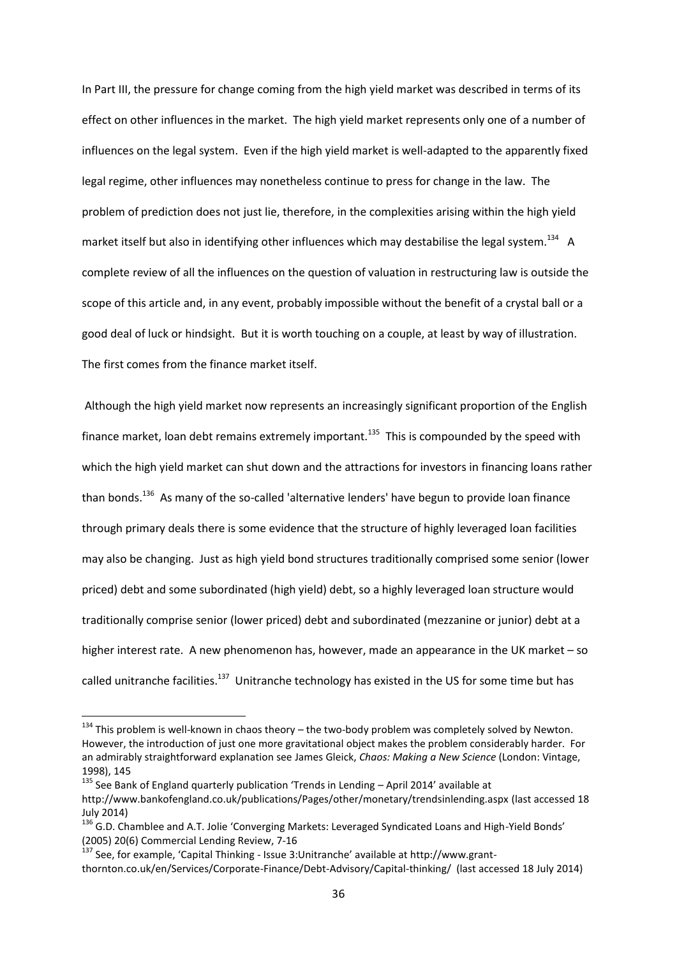In Part III, the pressure for change coming from the high yield market was described in terms of its effect on other influences in the market. The high yield market represents only one of a number of influences on the legal system. Even if the high yield market is well-adapted to the apparently fixed legal regime, other influences may nonetheless continue to press for change in the law. The problem of prediction does not just lie, therefore, in the complexities arising within the high yield market itself but also in identifying other influences which may destabilise the legal system.<sup>134</sup> A complete review of all the influences on the question of valuation in restructuring law is outside the scope of this article and, in any event, probably impossible without the benefit of a crystal ball or a good deal of luck or hindsight. But it is worth touching on a couple, at least by way of illustration. The first comes from the finance market itself.

Although the high yield market now represents an increasingly significant proportion of the English finance market, loan debt remains extremely important.<sup>135</sup> This is compounded by the speed with which the high yield market can shut down and the attractions for investors in financing loans rather than bonds.<sup>136</sup> As many of the so-called 'alternative lenders' have begun to provide loan finance through primary deals there is some evidence that the structure of highly leveraged loan facilities may also be changing. Just as high yield bond structures traditionally comprised some senior (lower priced) debt and some subordinated (high yield) debt, so a highly leveraged loan structure would traditionally comprise senior (lower priced) debt and subordinated (mezzanine or junior) debt at a higher interest rate. A new phenomenon has, however, made an appearance in the UK market – so called unitranche facilities.<sup>137</sup> Unitranche technology has existed in the US for some time but has

 $134$  This problem is well-known in chaos theory – the two-body problem was completely solved by Newton. However, the introduction of just one more gravitational object makes the problem considerably harder. For an admirably straightforward explanation see James Gleick, *Chaos: Making a New Science* (London: Vintage, 1998), 145

<sup>135</sup> See Bank of England quarterly publication 'Trends in Lending - April 2014' available at http://www.bankofengland.co.uk/publications/Pages/other/monetary/trendsinlending.aspx (last accessed 18 July 2014)

<sup>&</sup>lt;sup>136</sup> G.D. Chamblee and A.T. Jolie 'Converging Markets: Leveraged Syndicated Loans and High-Yield Bonds' (2005) 20(6) Commercial Lending Review, 7-16

<sup>137</sup> See, for example, 'Capital Thinking - Issue 3:Unitranche' available at http://www.grant-

thornton.co.uk/en/Services/Corporate-Finance/Debt-Advisory/Capital-thinking/ (last accessed 18 July 2014)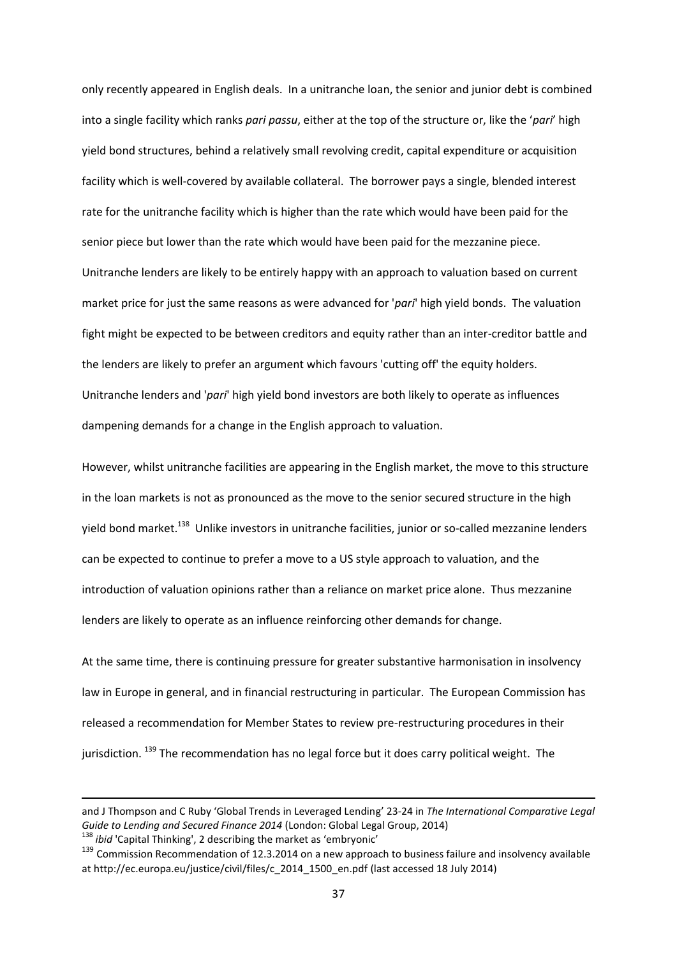only recently appeared in English deals. In a unitranche loan, the senior and junior debt is combined into a single facility which ranks *pari passu*, either at the top of the structure or, like the '*pari*' high yield bond structures, behind a relatively small revolving credit, capital expenditure or acquisition facility which is well-covered by available collateral. The borrower pays a single, blended interest rate for the unitranche facility which is higher than the rate which would have been paid for the senior piece but lower than the rate which would have been paid for the mezzanine piece. Unitranche lenders are likely to be entirely happy with an approach to valuation based on current market price for just the same reasons as were advanced for '*pari*' high yield bonds. The valuation fight might be expected to be between creditors and equity rather than an inter-creditor battle and the lenders are likely to prefer an argument which favours 'cutting off' the equity holders. Unitranche lenders and '*pari*' high yield bond investors are both likely to operate as influences dampening demands for a change in the English approach to valuation.

However, whilst unitranche facilities are appearing in the English market, the move to this structure in the loan markets is not as pronounced as the move to the senior secured structure in the high yield bond market.<sup>138</sup> Unlike investors in unitranche facilities, junior or so-called mezzanine lenders can be expected to continue to prefer a move to a US style approach to valuation, and the introduction of valuation opinions rather than a reliance on market price alone. Thus mezzanine lenders are likely to operate as an influence reinforcing other demands for change.

At the same time, there is continuing pressure for greater substantive harmonisation in insolvency law in Europe in general, and in financial restructuring in particular. The European Commission has released a recommendation for Member States to review pre-restructuring procedures in their jurisdiction.  $^{139}$  The recommendation has no legal force but it does carry political weight. The

and J Thompson and C Ruby 'Global Trends in Leveraged Lending' 23-24 in *The International Comparative Legal Guide to Lending and Secured Finance 2014* (London: Global Legal Group, 2014) <sup>138</sup> *ibid* 'Capital Thinking', 2 describing the market as 'embryonic'

<sup>139</sup> Commission Recommendation of 12.3.2014 on a new approach to business failure and insolvency available at http://ec.europa.eu/justice/civil/files/c\_2014\_1500\_en.pdf (last accessed 18 July 2014)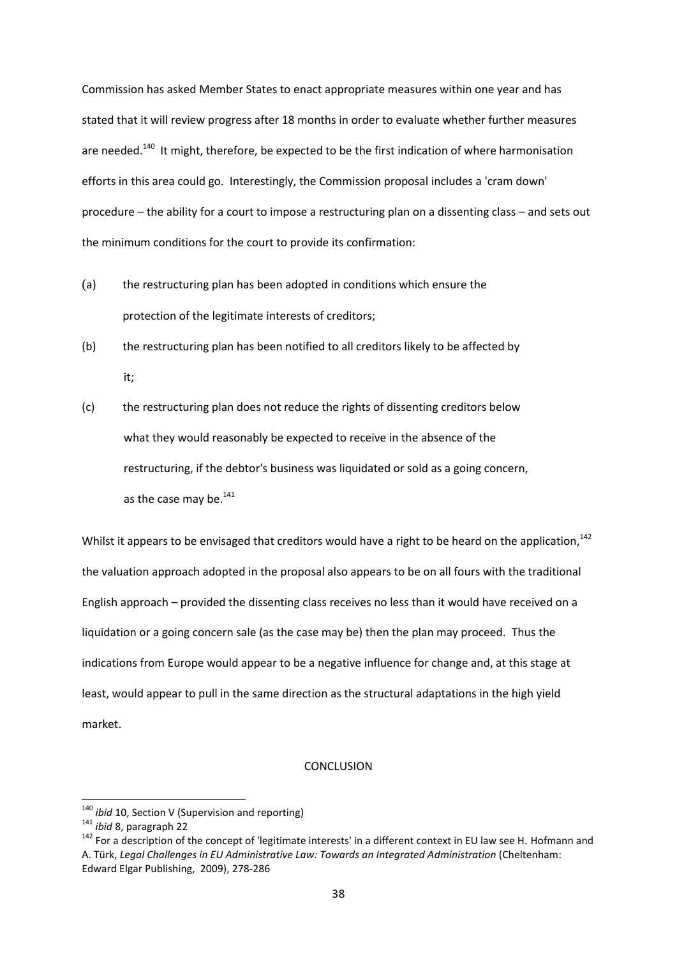Commission has asked Member States to enact appropriate measures within one year and has stated that it will review progress after 18 months in order to evaluate whether further measures are needed.<sup>140</sup> It might, therefore, be expected to be the first indication of where harmonisation efforts in this area could go. Interestingly, the Commission proposal includes a 'cram down' procedure – the ability for a court to impose a restructuring plan on a dissenting class – and sets out the minimum conditions for the court to provide its confirmation:

- (a) the restructuring plan has been adopted in conditions which ensure the protection of the legitimate interests of creditors;
- (b) the restructuring plan has been notified to all creditors likely to be affected by it;
- (c) the restructuring plan does not reduce the rights of dissenting creditors below what they would reasonably be expected to receive in the absence of the restructuring, if the debtor's business was liquidated or sold as a going concern, as the case may be.<sup>141</sup>

Whilst it appears to be envisaged that creditors would have a right to be heard on the application,<sup>142</sup> the valuation approach adopted in the proposal also appears to be on all fours with the traditional English approach – provided the dissenting class receives no less than it would have received on a liquidation or a going concern sale (as the case may be) then the plan may proceed. Thus the indications from Europe would appear to be a negative influence for change and, at this stage at least, would appear to pull in the same direction as the structural adaptations in the high yield market.

# **CONCLUSION**

<sup>140</sup> *ibid* 10, Section V (Supervision and reporting)

<sup>141</sup> *ibid* 8, paragraph 22

<sup>&</sup>lt;sup>142</sup> For a description of the concept of 'legitimate interests' in a different context in EU law see H. Hofmann and A. Türk, *Legal Challenges in EU Administrative Law: Towards an Integrated Administration* (Cheltenham: Edward Elgar Publishing, 2009), 278-286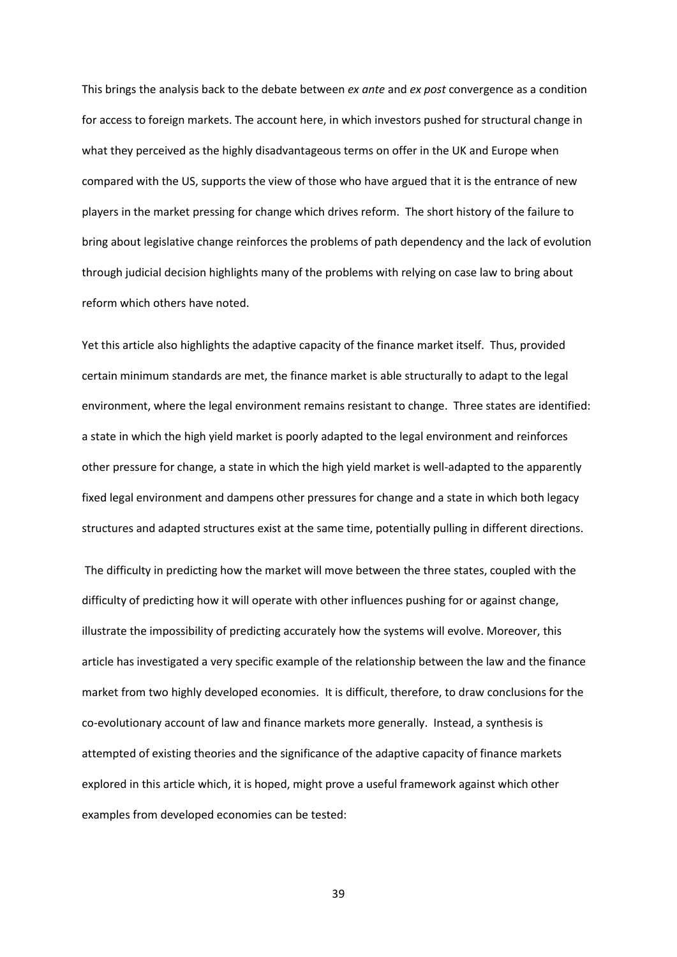This brings the analysis back to the debate between *ex ante* and *ex post* convergence as a condition for access to foreign markets. The account here, in which investors pushed for structural change in what they perceived as the highly disadvantageous terms on offer in the UK and Europe when compared with the US, supports the view of those who have argued that it is the entrance of new players in the market pressing for change which drives reform. The short history of the failure to bring about legislative change reinforces the problems of path dependency and the lack of evolution through judicial decision highlights many of the problems with relying on case law to bring about reform which others have noted.

Yet this article also highlights the adaptive capacity of the finance market itself. Thus, provided certain minimum standards are met, the finance market is able structurally to adapt to the legal environment, where the legal environment remains resistant to change. Three states are identified: a state in which the high yield market is poorly adapted to the legal environment and reinforces other pressure for change, a state in which the high yield market is well-adapted to the apparently fixed legal environment and dampens other pressures for change and a state in which both legacy structures and adapted structures exist at the same time, potentially pulling in different directions.

The difficulty in predicting how the market will move between the three states, coupled with the difficulty of predicting how it will operate with other influences pushing for or against change, illustrate the impossibility of predicting accurately how the systems will evolve. Moreover, this article has investigated a very specific example of the relationship between the law and the finance market from two highly developed economies. It is difficult, therefore, to draw conclusions for the co-evolutionary account of law and finance markets more generally. Instead, a synthesis is attempted of existing theories and the significance of the adaptive capacity of finance markets explored in this article which, it is hoped, might prove a useful framework against which other examples from developed economies can be tested: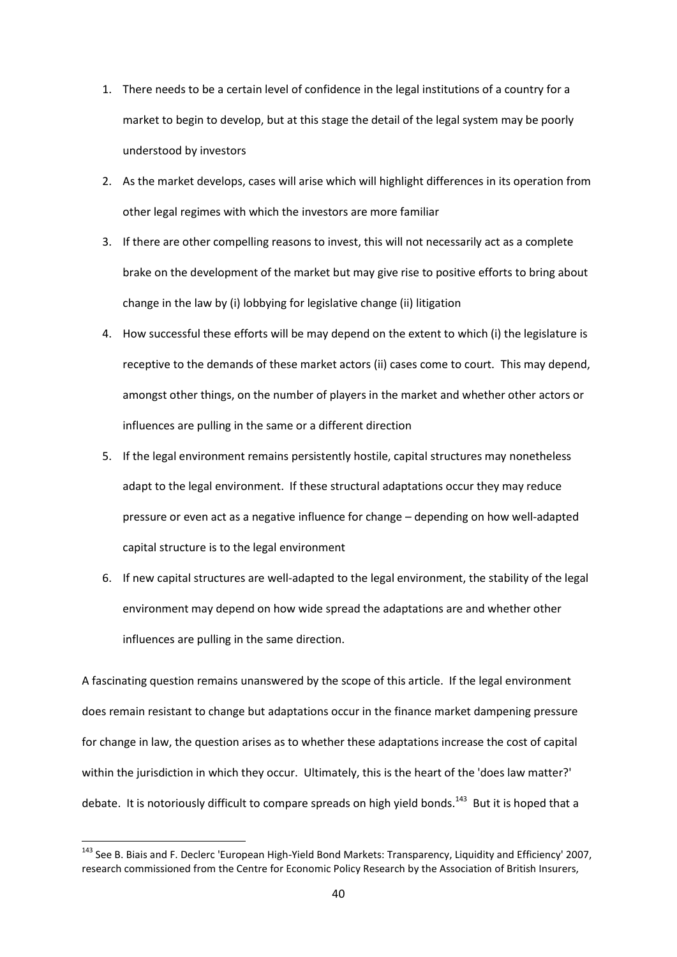- 1. There needs to be a certain level of confidence in the legal institutions of a country for a market to begin to develop, but at this stage the detail of the legal system may be poorly understood by investors
- 2. As the market develops, cases will arise which will highlight differences in its operation from other legal regimes with which the investors are more familiar
- 3. If there are other compelling reasons to invest, this will not necessarily act as a complete brake on the development of the market but may give rise to positive efforts to bring about change in the law by (i) lobbying for legislative change (ii) litigation
- 4. How successful these efforts will be may depend on the extent to which (i) the legislature is receptive to the demands of these market actors (ii) cases come to court. This may depend, amongst other things, on the number of players in the market and whether other actors or influences are pulling in the same or a different direction
- 5. If the legal environment remains persistently hostile, capital structures may nonetheless adapt to the legal environment. If these structural adaptations occur they may reduce pressure or even act as a negative influence for change – depending on how well-adapted capital structure is to the legal environment
- 6. If new capital structures are well-adapted to the legal environment, the stability of the legal environment may depend on how wide spread the adaptations are and whether other influences are pulling in the same direction.

A fascinating question remains unanswered by the scope of this article. If the legal environment does remain resistant to change but adaptations occur in the finance market dampening pressure for change in law, the question arises as to whether these adaptations increase the cost of capital within the jurisdiction in which they occur. Ultimately, this is the heart of the 'does law matter?' debate. It is notoriously difficult to compare spreads on high yield bonds.<sup>143</sup> But it is hoped that a

<sup>&</sup>lt;sup>143</sup> See B. Biais and F. Declerc 'European High-Yield Bond Markets: Transparency, Liquidity and Efficiency' 2007, research commissioned from the Centre for Economic Policy Research by the Association of British Insurers,